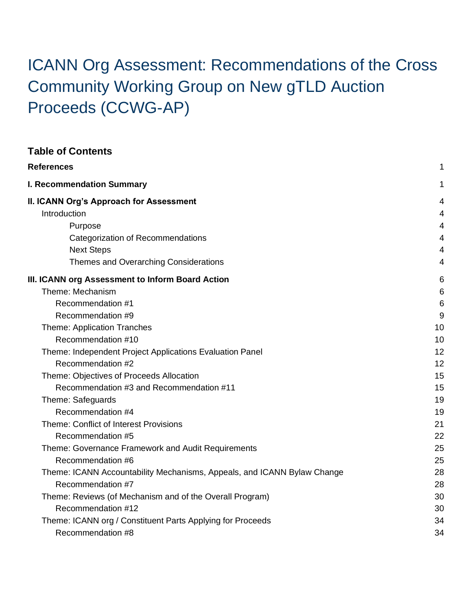# ICANN Org Assessment: Recommendations of the Cross Community Working Group on New gTLD Auction Proceeds (CCWG-AP)

| <b>Table of Contents</b>                                                |    |
|-------------------------------------------------------------------------|----|
| <b>References</b>                                                       | 1  |
| <b>I. Recommendation Summary</b>                                        | 1  |
| II. ICANN Org's Approach for Assessment                                 | 4  |
| Introduction                                                            | 4  |
| Purpose                                                                 | 4  |
| Categorization of Recommendations                                       | 4  |
| <b>Next Steps</b>                                                       | 4  |
| Themes and Overarching Considerations                                   | 4  |
| III. ICANN org Assessment to Inform Board Action                        | 6  |
| Theme: Mechanism                                                        | 6  |
| Recommendation #1                                                       | 6  |
| Recommendation #9                                                       | 9  |
| Theme: Application Tranches                                             | 10 |
| Recommendation #10                                                      | 10 |
| Theme: Independent Project Applications Evaluation Panel                | 12 |
| Recommendation #2                                                       | 12 |
| Theme: Objectives of Proceeds Allocation                                | 15 |
| Recommendation #3 and Recommendation #11                                | 15 |
| Theme: Safeguards                                                       | 19 |
| Recommendation #4                                                       | 19 |
| Theme: Conflict of Interest Provisions                                  | 21 |
| Recommendation #5                                                       | 22 |
| Theme: Governance Framework and Audit Requirements                      | 25 |
| Recommendation #6                                                       | 25 |
| Theme: ICANN Accountability Mechanisms, Appeals, and ICANN Bylaw Change | 28 |
| Recommendation #7                                                       | 28 |
| Theme: Reviews (of Mechanism and of the Overall Program)                | 30 |
| Recommendation #12                                                      | 30 |
| Theme: ICANN org / Constituent Parts Applying for Proceeds              | 34 |
| Recommendation #8                                                       | 34 |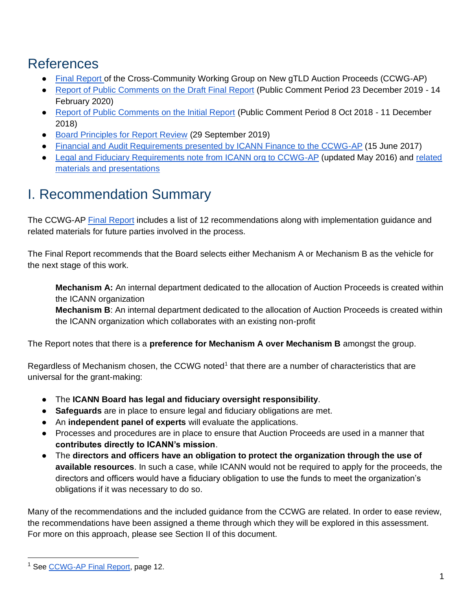## <span id="page-1-0"></span>References

- [Final Report o](https://community.icann.org/download/attachments/63149512/New%20gTLD%20AP%20CCWG%20Final%20Report_29%20May%202020.pdf?version=1&modificationDate=1590774896000&api=v2)f the Cross-Community Working Group on New gTLD Auction Proceeds (CCWG-AP)
- [Report of Public Comments on the Draft Final Report](https://itp.cdn.icann.org/en/files/auction-proceeds/report-comments-new-gtld-auction-proceeds-final-25feb20-en.pdf) (Public Comment Period 23 December 2019 14 February 2020)
- [Report of Public Comments on the Initial Report](https://community.icann.org/download/attachments/102138829/Report%20of%20Public%20Comments%20-%20new%20gTLD%20Auction%20Proceeds%20Initial%20Report%20-%2017%20December%202018.pdf?version=1&modificationDate=1545214464000&api=v2) (Public Comment Period 8 Oct 2018 11 December 2018)
- [Board Principles for Report Review](https://www.icann.org/en/system/files/correspondence/burr-botterman-to-mann-chiao-29sep19-en.pdf) (29 September 2019)
- [Financial and Audit Requirements presented by ICANN Finance to the CCWG-AP](https://community.icann.org/pages/viewpage.action?pageId=66085160) (15 June 2017)
- [Legal and Fiduciary Requirements note from ICANN org to CCWG-AP](https://community.icann.org/download/attachments/58730906/May%202016%20-%20Note%20to%20Auction%20Proceeds%20Charter%20DT%20re%20legal%20and%20fiduciary%20principles-UPDATED.doc?version=1&modificationDate=1466697425000&api=v2) (updated May 2016) and related [materials and presentations](https://community.icann.org/display/CWGONGAP/Legal+and+Fiduciary+Constraints+Related+Materials)

## <span id="page-1-1"></span>I. Recommendation Summary

The CCWG-AP [Final Report](https://community.icann.org/download/attachments/63149512/New%20gTLD%20AP%20CCWG%20Final%20Report_29%20May%202020.pdf?version=1&modificationDate=1590774896000&api=v2) includes a list of 12 recommendations along with implementation guidance and related materials for future parties involved in the process.

The Final Report recommends that the Board selects either Mechanism A or Mechanism B as the vehicle for the next stage of this work.

**Mechanism A:** An internal department dedicated to the allocation of Auction Proceeds is created within the ICANN organization

**Mechanism B**: An internal department dedicated to the allocation of Auction Proceeds is created within the ICANN organization which collaborates with an existing non-profit

The Report notes that there is a **preference for Mechanism A over Mechanism B** amongst the group.

Regardless of Mechanism chosen, the CCWG noted<sup>1</sup> that there are a number of characteristics that are universal for the grant-making:

- The **ICANN Board has legal and fiduciary oversight responsibility**.
- **Safeguards** are in place to ensure legal and fiduciary obligations are met.
- An **independent panel of experts** will evaluate the applications.
- Processes and procedures are in place to ensure that Auction Proceeds are used in a manner that **contributes directly to ICANN's mission**.
- The **directors and officers have an obligation to protect the organization through the use of available resources**. In such a case, while ICANN would not be required to apply for the proceeds, the directors and officers would have a fiduciary obligation to use the funds to meet the organization's obligations if it was necessary to do so.

Many of the recommendations and the included guidance from the CCWG are related. In order to ease review, the recommendations have been assigned a theme through which they will be explored in this assessment. For more on this approach, please see Section II of this document.

<sup>&</sup>lt;sup>1</sup> See [CCWG-AP Final Report,](https://community.icann.org/download/attachments/63149512/New%20gTLD%20AP%20CCWG%20Final%20Report_29%20May%202020.pdf?version=1&modificationDate=1590774896000&api=v2) page 12.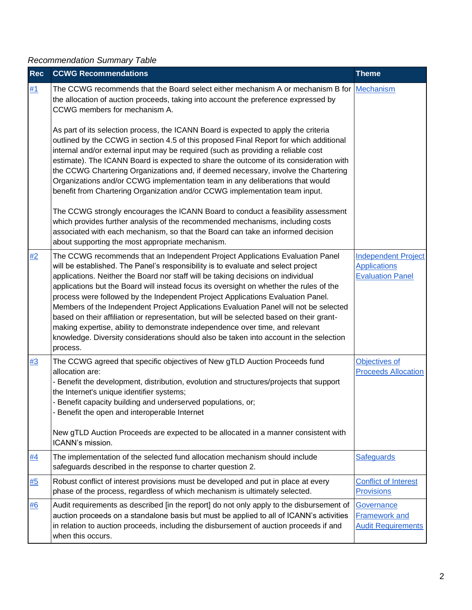#### *Recommendation Summary Table*

| <b>Rec</b> | <b>CCWG Recommendations</b>                                                                                                                                                                                                                                                                                                                                                                                                                                                                                                                                                                                                                                                                                                                                                                                      | <b>Theme</b>                                                                 |
|------------|------------------------------------------------------------------------------------------------------------------------------------------------------------------------------------------------------------------------------------------------------------------------------------------------------------------------------------------------------------------------------------------------------------------------------------------------------------------------------------------------------------------------------------------------------------------------------------------------------------------------------------------------------------------------------------------------------------------------------------------------------------------------------------------------------------------|------------------------------------------------------------------------------|
| #1         | The CCWG recommends that the Board select either mechanism A or mechanism B for Mechanism<br>the allocation of auction proceeds, taking into account the preference expressed by<br>CCWG members for mechanism A.                                                                                                                                                                                                                                                                                                                                                                                                                                                                                                                                                                                                |                                                                              |
|            | As part of its selection process, the ICANN Board is expected to apply the criteria<br>outlined by the CCWG in section 4.5 of this proposed Final Report for which additional<br>internal and/or external input may be required (such as providing a reliable cost<br>estimate). The ICANN Board is expected to share the outcome of its consideration with<br>the CCWG Chartering Organizations and, if deemed necessary, involve the Chartering<br>Organizations and/or CCWG implementation team in any deliberations that would<br>benefit from Chartering Organization and/or CCWG implementation team input.                                                                                                                                                                                                |                                                                              |
|            | The CCWG strongly encourages the ICANN Board to conduct a feasibility assessment<br>which provides further analysis of the recommended mechanisms, including costs<br>associated with each mechanism, so that the Board can take an informed decision<br>about supporting the most appropriate mechanism.                                                                                                                                                                                                                                                                                                                                                                                                                                                                                                        |                                                                              |
| #2         | The CCWG recommends that an Independent Project Applications Evaluation Panel<br>will be established. The Panel's responsibility is to evaluate and select project<br>applications. Neither the Board nor staff will be taking decisions on individual<br>applications but the Board will instead focus its oversight on whether the rules of the<br>process were followed by the Independent Project Applications Evaluation Panel.<br>Members of the Independent Project Applications Evaluation Panel will not be selected<br>based on their affiliation or representation, but will be selected based on their grant-<br>making expertise, ability to demonstrate independence over time, and relevant<br>knowledge. Diversity considerations should also be taken into account in the selection<br>process. | <b>Independent Project</b><br><b>Applications</b><br><b>Evaluation Panel</b> |
| #3         | The CCWG agreed that specific objectives of New gTLD Auction Proceeds fund<br>allocation are:<br>- Benefit the development, distribution, evolution and structures/projects that support<br>the Internet's unique identifier systems;<br>Benefit capacity building and underserved populations, or;<br>Benefit the open and interoperable Internet<br>New gTLD Auction Proceeds are expected to be allocated in a manner consistent with<br>ICANN's mission.                                                                                                                                                                                                                                                                                                                                                     | Objectives of<br><b>Proceeds Allocation</b>                                  |
| <u>#4</u>  | The implementation of the selected fund allocation mechanism should include<br>safeguards described in the response to charter question 2.                                                                                                                                                                                                                                                                                                                                                                                                                                                                                                                                                                                                                                                                       | Safeguards                                                                   |
| #5         | Robust conflict of interest provisions must be developed and put in place at every<br>phase of the process, regardless of which mechanism is ultimately selected.                                                                                                                                                                                                                                                                                                                                                                                                                                                                                                                                                                                                                                                | <b>Conflict of Interest</b><br><b>Provisions</b>                             |
| #6         | Audit requirements as described [in the report] do not only apply to the disbursement of<br>auction proceeds on a standalone basis but must be applied to all of ICANN's activities<br>in relation to auction proceeds, including the disbursement of auction proceeds if and<br>when this occurs.                                                                                                                                                                                                                                                                                                                                                                                                                                                                                                               | Governance<br><b>Framework and</b><br><b>Audit Requirements</b>              |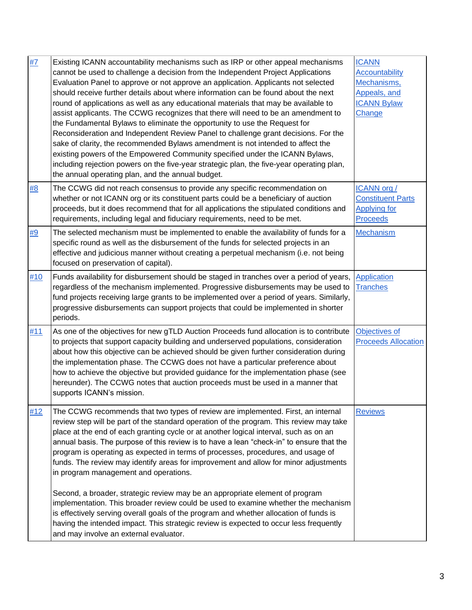| #7  | Existing ICANN accountability mechanisms such as IRP or other appeal mechanisms<br>cannot be used to challenge a decision from the Independent Project Applications<br>Evaluation Panel to approve or not approve an application. Applicants not selected<br>should receive further details about where information can be found about the next<br>round of applications as well as any educational materials that may be available to<br>assist applicants. The CCWG recognizes that there will need to be an amendment to<br>the Fundamental Bylaws to eliminate the opportunity to use the Request for<br>Reconsideration and Independent Review Panel to challenge grant decisions. For the<br>sake of clarity, the recommended Bylaws amendment is not intended to affect the<br>existing powers of the Empowered Community specified under the ICANN Bylaws,<br>including rejection powers on the five-year strategic plan, the five-year operating plan,<br>the annual operating plan, and the annual budget. | <b>ICANN</b><br><b>Accountability</b><br>Mechanisms,<br>Appeals, and<br><b>ICANN Bylaw</b><br>Change |
|-----|----------------------------------------------------------------------------------------------------------------------------------------------------------------------------------------------------------------------------------------------------------------------------------------------------------------------------------------------------------------------------------------------------------------------------------------------------------------------------------------------------------------------------------------------------------------------------------------------------------------------------------------------------------------------------------------------------------------------------------------------------------------------------------------------------------------------------------------------------------------------------------------------------------------------------------------------------------------------------------------------------------------------|------------------------------------------------------------------------------------------------------|
| #8  | The CCWG did not reach consensus to provide any specific recommendation on<br>whether or not ICANN org or its constituent parts could be a beneficiary of auction<br>proceeds, but it does recommend that for all applications the stipulated conditions and<br>requirements, including legal and fiduciary requirements, need to be met.                                                                                                                                                                                                                                                                                                                                                                                                                                                                                                                                                                                                                                                                            | ICANN org /<br><b>Constituent Parts</b><br><b>Applying for</b><br><b>Proceeds</b>                    |
| #9  | The selected mechanism must be implemented to enable the availability of funds for a<br>specific round as well as the disbursement of the funds for selected projects in an<br>effective and judicious manner without creating a perpetual mechanism (i.e. not being<br>focused on preservation of capital).                                                                                                                                                                                                                                                                                                                                                                                                                                                                                                                                                                                                                                                                                                         | Mechanism                                                                                            |
| #10 | Funds availability for disbursement should be staged in tranches over a period of years,<br>regardless of the mechanism implemented. Progressive disbursements may be used to<br>fund projects receiving large grants to be implemented over a period of years. Similarly,<br>progressive disbursements can support projects that could be implemented in shorter<br>periods.                                                                                                                                                                                                                                                                                                                                                                                                                                                                                                                                                                                                                                        | <b>Application</b><br><b>Tranches</b>                                                                |
| #11 | As one of the objectives for new gTLD Auction Proceeds fund allocation is to contribute<br>to projects that support capacity building and underserved populations, consideration<br>about how this objective can be achieved should be given further consideration during<br>the implementation phase. The CCWG does not have a particular preference about<br>how to achieve the objective but provided guidance for the implementation phase (see<br>hereunder). The CCWG notes that auction proceeds must be used in a manner that<br>supports ICANN's mission.                                                                                                                                                                                                                                                                                                                                                                                                                                                   | Objectives of<br><b>Proceeds Allocation</b>                                                          |
| #12 | The CCWG recommends that two types of review are implemented. First, an internal<br>review step will be part of the standard operation of the program. This review may take<br>place at the end of each granting cycle or at another logical interval, such as on an<br>annual basis. The purpose of this review is to have a lean "check-in" to ensure that the<br>program is operating as expected in terms of processes, procedures, and usage of<br>funds. The review may identify areas for improvement and allow for minor adjustments<br>in program management and operations.                                                                                                                                                                                                                                                                                                                                                                                                                                | <b>Reviews</b>                                                                                       |
|     | Second, a broader, strategic review may be an appropriate element of program<br>implementation. This broader review could be used to examine whether the mechanism<br>is effectively serving overall goals of the program and whether allocation of funds is<br>having the intended impact. This strategic review is expected to occur less frequently<br>and may involve an external evaluator.                                                                                                                                                                                                                                                                                                                                                                                                                                                                                                                                                                                                                     |                                                                                                      |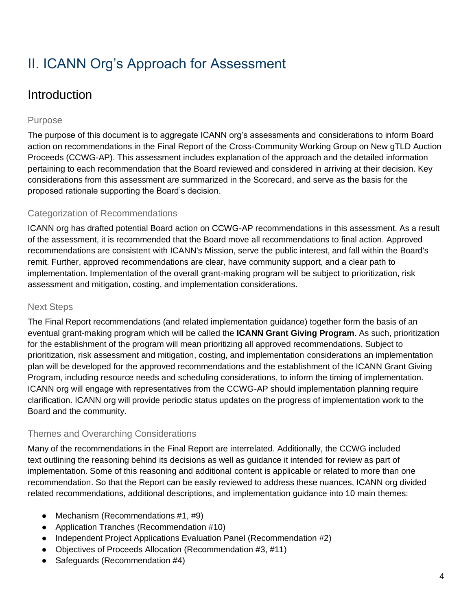## <span id="page-4-0"></span>II. ICANN Org's Approach for Assessment

### <span id="page-4-1"></span>Introduction

#### <span id="page-4-2"></span>Purpose

The purpose of this document is to aggregate ICANN org's assessments and considerations to inform Board action on recommendations in the Final Report of the Cross-Community Working Group on New gTLD Auction Proceeds (CCWG-AP). This assessment includes explanation of the approach and the detailed information pertaining to each recommendation that the Board reviewed and considered in arriving at their decision. Key considerations from this assessment are summarized in the Scorecard, and serve as the basis for the proposed rationale supporting the Board's decision.

#### <span id="page-4-3"></span>Categorization of Recommendations

ICANN org has drafted potential Board action on CCWG-AP recommendations in this assessment. As a result of the assessment, it is recommended that the Board move all recommendations to final action. Approved recommendations are consistent with ICANN's Mission, serve the public interest, and fall within the Board's remit. Further, approved recommendations are clear, have community support, and a clear path to implementation. Implementation of the overall grant-making program will be subject to prioritization, risk assessment and mitigation, costing, and implementation considerations.

#### <span id="page-4-4"></span>Next Steps

The Final Report recommendations (and related implementation guidance) together form the basis of an eventual grant-making program which will be called the **ICANN Grant Giving Program**. As such, prioritization for the establishment of the program will mean prioritizing all approved recommendations. Subject to prioritization, risk assessment and mitigation, costing, and implementation considerations an implementation plan will be developed for the approved recommendations and the establishment of the ICANN Grant Giving Program, including resource needs and scheduling considerations, to inform the timing of implementation. ICANN org will engage with representatives from the CCWG-AP should implementation planning require clarification. ICANN org will provide periodic status updates on the progress of implementation work to the Board and the community.

#### <span id="page-4-5"></span>Themes and Overarching Considerations

Many of the recommendations in the Final Report are interrelated. Additionally, the CCWG included text outlining the reasoning behind its decisions as well as guidance it intended for review as part of implementation. Some of this reasoning and additional content is applicable or related to more than one recommendation. So that the Report can be easily reviewed to address these nuances, ICANN org divided related recommendations, additional descriptions, and implementation guidance into 10 main themes:

- Mechanism (Recommendations #1, #9)
- Application Tranches (Recommendation #10)
- Independent Project Applications Evaluation Panel (Recommendation #2)
- Objectives of Proceeds Allocation (Recommendation #3, #11)
- Safeguards (Recommendation #4)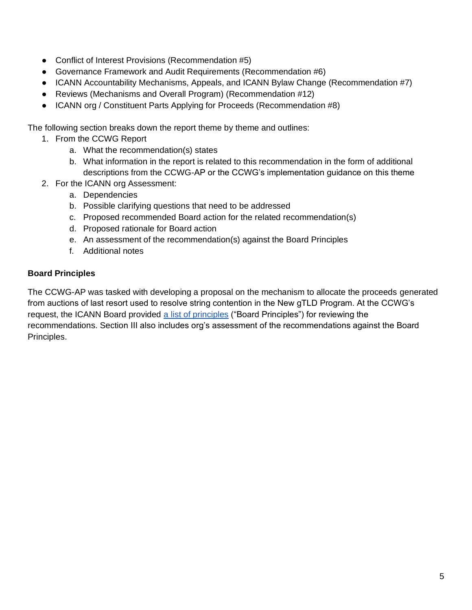- Conflict of Interest Provisions (Recommendation #5)
- Governance Framework and Audit Requirements (Recommendation #6)
- ICANN Accountability Mechanisms, Appeals, and ICANN Bylaw Change (Recommendation #7)
- Reviews (Mechanisms and Overall Program) (Recommendation #12)
- ICANN org / Constituent Parts Applying for Proceeds (Recommendation #8)

The following section breaks down the report theme by theme and outlines:

- 1. From the CCWG Report
	- a. What the recommendation(s) states
	- b. What information in the report is related to this recommendation in the form of additional descriptions from the CCWG-AP or the CCWG's implementation guidance on this theme
- 2. For the ICANN org Assessment:
	- a. Dependencies
	- b. Possible clarifying questions that need to be addressed
	- c. Proposed recommended Board action for the related recommendation(s)
	- d. Proposed rationale for Board action
	- e. An assessment of the recommendation(s) against the Board Principles
	- f. Additional notes

#### **Board Principles**

The CCWG-AP was tasked with developing a proposal on the mechanism to allocate the proceeds generated from auctions of last resort used to resolve string contention in the New gTLD Program. At the CCWG's request, the ICANN Board provided [a list of principles](https://www.icann.org/en/system/files/correspondence/burr-botterman-to-mann-chiao-29sep19-en.pdf) ("Board Principles") for reviewing the recommendations. Section III also includes org's assessment of the recommendations against the Board Principles.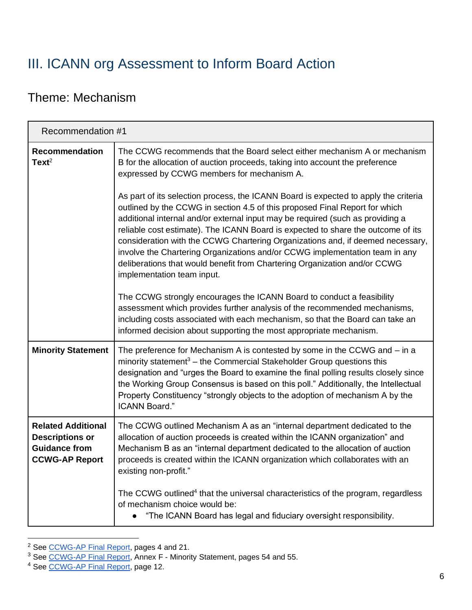## <span id="page-6-0"></span>III. ICANN org Assessment to Inform Board Action

### <span id="page-6-3"></span><span id="page-6-1"></span>Theme: Mechanism

<span id="page-6-2"></span>

| Recommendation #1                                                                                    |                                                                                                                                                                                                                                                                                                                                                                                                                                                                                                                                                                                                                      |
|------------------------------------------------------------------------------------------------------|----------------------------------------------------------------------------------------------------------------------------------------------------------------------------------------------------------------------------------------------------------------------------------------------------------------------------------------------------------------------------------------------------------------------------------------------------------------------------------------------------------------------------------------------------------------------------------------------------------------------|
| Recommendation<br>Text <sup>2</sup>                                                                  | The CCWG recommends that the Board select either mechanism A or mechanism<br>B for the allocation of auction proceeds, taking into account the preference<br>expressed by CCWG members for mechanism A.                                                                                                                                                                                                                                                                                                                                                                                                              |
|                                                                                                      | As part of its selection process, the ICANN Board is expected to apply the criteria<br>outlined by the CCWG in section 4.5 of this proposed Final Report for which<br>additional internal and/or external input may be required (such as providing a<br>reliable cost estimate). The ICANN Board is expected to share the outcome of its<br>consideration with the CCWG Chartering Organizations and, if deemed necessary,<br>involve the Chartering Organizations and/or CCWG implementation team in any<br>deliberations that would benefit from Chartering Organization and/or CCWG<br>implementation team input. |
|                                                                                                      | The CCWG strongly encourages the ICANN Board to conduct a feasibility<br>assessment which provides further analysis of the recommended mechanisms,<br>including costs associated with each mechanism, so that the Board can take an<br>informed decision about supporting the most appropriate mechanism.                                                                                                                                                                                                                                                                                                            |
| <b>Minority Statement</b>                                                                            | The preference for Mechanism A is contested by some in the CCWG and – in a<br>minority statement <sup>3</sup> – the Commercial Stakeholder Group questions this<br>designation and "urges the Board to examine the final polling results closely since<br>the Working Group Consensus is based on this poll." Additionally, the Intellectual<br>Property Constituency "strongly objects to the adoption of mechanism A by the<br><b>ICANN Board."</b>                                                                                                                                                                |
| <b>Related Additional</b><br><b>Descriptions or</b><br><b>Guidance from</b><br><b>CCWG-AP Report</b> | The CCWG outlined Mechanism A as an "internal department dedicated to the<br>allocation of auction proceeds is created within the ICANN organization" and<br>Mechanism B as an "internal department dedicated to the allocation of auction<br>proceeds is created within the ICANN organization which collaborates with an<br>existing non-profit."                                                                                                                                                                                                                                                                  |
|                                                                                                      | The CCWG outlined <sup>4</sup> that the universal characteristics of the program, regardless<br>of mechanism choice would be:<br>"The ICANN Board has legal and fiduciary oversight responsibility.                                                                                                                                                                                                                                                                                                                                                                                                                  |

<sup>&</sup>lt;sup>2</sup> See [CCWG-AP Final Report,](https://community.icann.org/download/attachments/63149512/New%20gTLD%20AP%20CCWG%20Final%20Report_29%20May%202020.pdf?version=1&modificationDate=1590774896000&api=v2) pages 4 and 21.

<sup>&</sup>lt;sup>3</sup> See [CCWG-AP Final Report,](https://community.icann.org/download/attachments/63149512/New%20gTLD%20AP%20CCWG%20Final%20Report_29%20May%202020.pdf?version=1&modificationDate=1590774896000&api=v2) Annex F - Minority Statement, pages 54 and 55.

<sup>4</sup> See [CCWG-AP Final Report,](https://community.icann.org/download/attachments/63149512/New%20gTLD%20AP%20CCWG%20Final%20Report_29%20May%202020.pdf?version=1&modificationDate=1590774896000&api=v2) page 12.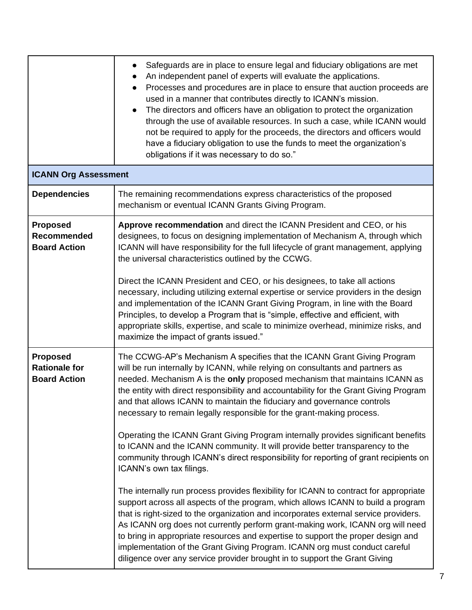|                                                                | Safeguards are in place to ensure legal and fiduciary obligations are met<br>$\bullet$<br>An independent panel of experts will evaluate the applications.<br>Processes and procedures are in place to ensure that auction proceeds are<br>$\bullet$<br>used in a manner that contributes directly to ICANN's mission.<br>The directors and officers have an obligation to protect the organization<br>$\bullet$<br>through the use of available resources. In such a case, while ICANN would<br>not be required to apply for the proceeds, the directors and officers would<br>have a fiduciary obligation to use the funds to meet the organization's<br>obligations if it was necessary to do so."                                                                                                                                                                                                                                                                                                                                                                                                                                                                                                                                                                                                                                                                                |
|----------------------------------------------------------------|-------------------------------------------------------------------------------------------------------------------------------------------------------------------------------------------------------------------------------------------------------------------------------------------------------------------------------------------------------------------------------------------------------------------------------------------------------------------------------------------------------------------------------------------------------------------------------------------------------------------------------------------------------------------------------------------------------------------------------------------------------------------------------------------------------------------------------------------------------------------------------------------------------------------------------------------------------------------------------------------------------------------------------------------------------------------------------------------------------------------------------------------------------------------------------------------------------------------------------------------------------------------------------------------------------------------------------------------------------------------------------------|
| <b>ICANN Org Assessment</b>                                    |                                                                                                                                                                                                                                                                                                                                                                                                                                                                                                                                                                                                                                                                                                                                                                                                                                                                                                                                                                                                                                                                                                                                                                                                                                                                                                                                                                                     |
| <b>Dependencies</b>                                            | The remaining recommendations express characteristics of the proposed<br>mechanism or eventual ICANN Grants Giving Program.                                                                                                                                                                                                                                                                                                                                                                                                                                                                                                                                                                                                                                                                                                                                                                                                                                                                                                                                                                                                                                                                                                                                                                                                                                                         |
| <b>Proposed</b><br>Recommended<br><b>Board Action</b>          | Approve recommendation and direct the ICANN President and CEO, or his<br>designees, to focus on designing implementation of Mechanism A, through which<br>ICANN will have responsibility for the full lifecycle of grant management, applying<br>the universal characteristics outlined by the CCWG.<br>Direct the ICANN President and CEO, or his designees, to take all actions<br>necessary, including utilizing external expertise or service providers in the design<br>and implementation of the ICANN Grant Giving Program, in line with the Board<br>Principles, to develop a Program that is "simple, effective and efficient, with<br>appropriate skills, expertise, and scale to minimize overhead, minimize risks, and<br>maximize the impact of grants issued."                                                                                                                                                                                                                                                                                                                                                                                                                                                                                                                                                                                                        |
| <b>Proposed</b><br><b>Rationale for</b><br><b>Board Action</b> | The CCWG-AP's Mechanism A specifies that the ICANN Grant Giving Program<br>will be run internally by ICANN, while relying on consultants and partners as<br>needed. Mechanism A is the only proposed mechanism that maintains ICANN as<br>the entity with direct responsibility and accountability for the Grant Giving Program<br>and that allows ICANN to maintain the fiduciary and governance controls<br>necessary to remain legally responsible for the grant-making process.<br>Operating the ICANN Grant Giving Program internally provides significant benefits<br>to ICANN and the ICANN community. It will provide better transparency to the<br>community through ICANN's direct responsibility for reporting of grant recipients on<br>ICANN's own tax filings.<br>The internally run process provides flexibility for ICANN to contract for appropriate<br>support across all aspects of the program, which allows ICANN to build a program<br>that is right-sized to the organization and incorporates external service providers.<br>As ICANN org does not currently perform grant-making work, ICANN org will need<br>to bring in appropriate resources and expertise to support the proper design and<br>implementation of the Grant Giving Program. ICANN org must conduct careful<br>diligence over any service provider brought in to support the Grant Giving |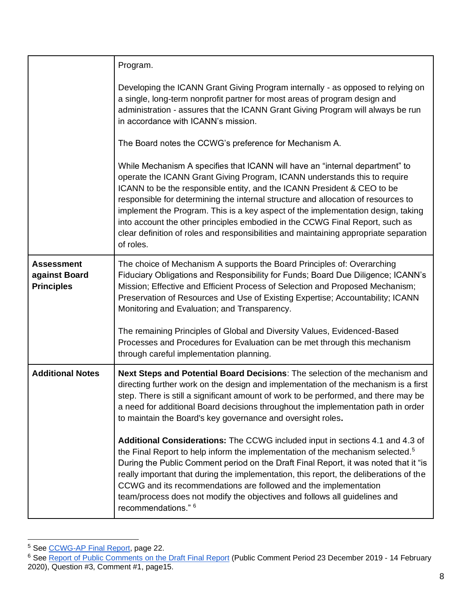|                                                         | Program.                                                                                                                                                                                                                                                                                                                                                                                                                                                                                                                                                                                            |
|---------------------------------------------------------|-----------------------------------------------------------------------------------------------------------------------------------------------------------------------------------------------------------------------------------------------------------------------------------------------------------------------------------------------------------------------------------------------------------------------------------------------------------------------------------------------------------------------------------------------------------------------------------------------------|
|                                                         | Developing the ICANN Grant Giving Program internally - as opposed to relying on<br>a single, long-term nonprofit partner for most areas of program design and<br>administration - assures that the ICANN Grant Giving Program will always be run<br>in accordance with ICANN's mission.                                                                                                                                                                                                                                                                                                             |
|                                                         | The Board notes the CCWG's preference for Mechanism A.                                                                                                                                                                                                                                                                                                                                                                                                                                                                                                                                              |
|                                                         | While Mechanism A specifies that ICANN will have an "internal department" to<br>operate the ICANN Grant Giving Program, ICANN understands this to require<br>ICANN to be the responsible entity, and the ICANN President & CEO to be<br>responsible for determining the internal structure and allocation of resources to<br>implement the Program. This is a key aspect of the implementation design, taking<br>into account the other principles embodied in the CCWG Final Report, such as<br>clear definition of roles and responsibilities and maintaining appropriate separation<br>of roles. |
| <b>Assessment</b><br>against Board<br><b>Principles</b> | The choice of Mechanism A supports the Board Principles of: Overarching<br>Fiduciary Obligations and Responsibility for Funds; Board Due Diligence; ICANN's<br>Mission; Effective and Efficient Process of Selection and Proposed Mechanism;<br>Preservation of Resources and Use of Existing Expertise; Accountability; ICANN<br>Monitoring and Evaluation; and Transparency.                                                                                                                                                                                                                      |
|                                                         | The remaining Principles of Global and Diversity Values, Evidenced-Based<br>Processes and Procedures for Evaluation can be met through this mechanism<br>through careful implementation planning.                                                                                                                                                                                                                                                                                                                                                                                                   |
| <b>Additional Notes</b>                                 | Next Steps and Potential Board Decisions: The selection of the mechanism and<br>directing further work on the design and implementation of the mechanism is a first<br>step. There is still a significant amount of work to be performed, and there may be<br>a need for additional Board decisions throughout the implementation path in order<br>to maintain the Board's key governance and oversight roles.                                                                                                                                                                                      |
|                                                         | Additional Considerations: The CCWG included input in sections 4.1 and 4.3 of<br>the Final Report to help inform the implementation of the mechanism selected. <sup>5</sup><br>During the Public Comment period on the Draft Final Report, it was noted that it "is<br>really important that during the implementation, this report, the deliberations of the<br>CCWG and its recommendations are followed and the implementation<br>team/process does not modify the objectives and follows all guidelines and<br>recommendations." 6                                                              |

<sup>&</sup>lt;sup>5</sup> See [CCWG-AP Final Report,](https://community.icann.org/download/attachments/63149512/New%20gTLD%20AP%20CCWG%20Final%20Report_29%20May%202020.pdf?version=1&modificationDate=1590774896000&api=v2) page 22.

<sup>&</sup>lt;sup>6</sup> See [Report of Public Comments on the Draft Final Report](https://itp.cdn.icann.org/en/files/auction-proceeds/report-comments-new-gtld-auction-proceeds-final-25feb20-en.pdf) (Public Comment Period 23 December 2019 - 14 February 2020), Question #3, Comment #1, page15.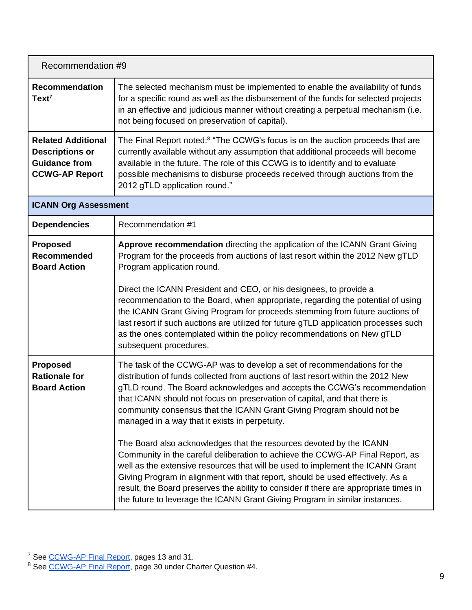<span id="page-9-0"></span>

| Recommendation #9                                                                                    |                                                                                                                                                                                                                                                                                                                                                                                                                                                                                                                                                                                                                                                                                                                                                                                                                                                                                                                                                     |
|------------------------------------------------------------------------------------------------------|-----------------------------------------------------------------------------------------------------------------------------------------------------------------------------------------------------------------------------------------------------------------------------------------------------------------------------------------------------------------------------------------------------------------------------------------------------------------------------------------------------------------------------------------------------------------------------------------------------------------------------------------------------------------------------------------------------------------------------------------------------------------------------------------------------------------------------------------------------------------------------------------------------------------------------------------------------|
| <b>Recommendation</b><br>$Text^7$                                                                    | The selected mechanism must be implemented to enable the availability of funds<br>for a specific round as well as the disbursement of the funds for selected projects<br>in an effective and judicious manner without creating a perpetual mechanism (i.e.<br>not being focused on preservation of capital).                                                                                                                                                                                                                                                                                                                                                                                                                                                                                                                                                                                                                                        |
| <b>Related Additional</b><br><b>Descriptions or</b><br><b>Guidance from</b><br><b>CCWG-AP Report</b> | The Final Report noted: <sup>8</sup> "The CCWG's focus is on the auction proceeds that are<br>currently available without any assumption that additional proceeds will become<br>available in the future. The role of this CCWG is to identify and to evaluate<br>possible mechanisms to disburse proceeds received through auctions from the<br>2012 gTLD application round."                                                                                                                                                                                                                                                                                                                                                                                                                                                                                                                                                                      |
| <b>ICANN Org Assessment</b>                                                                          |                                                                                                                                                                                                                                                                                                                                                                                                                                                                                                                                                                                                                                                                                                                                                                                                                                                                                                                                                     |
| <b>Dependencies</b>                                                                                  | Recommendation #1                                                                                                                                                                                                                                                                                                                                                                                                                                                                                                                                                                                                                                                                                                                                                                                                                                                                                                                                   |
| <b>Proposed</b><br><b>Recommended</b><br><b>Board Action</b>                                         | Approve recommendation directing the application of the ICANN Grant Giving<br>Program for the proceeds from auctions of last resort within the 2012 New gTLD<br>Program application round.<br>Direct the ICANN President and CEO, or his designees, to provide a<br>recommendation to the Board, when appropriate, regarding the potential of using<br>the ICANN Grant Giving Program for proceeds stemming from future auctions of<br>last resort if such auctions are utilized for future gTLD application processes such<br>as the ones contemplated within the policy recommendations on New gTLD<br>subsequent procedures.                                                                                                                                                                                                                                                                                                                     |
| <b>Proposed</b><br><b>Rationale for</b><br><b>Board Action</b>                                       | The task of the CCWG-AP was to develop a set of recommendations for the<br>distribution of funds collected from auctions of last resort within the 2012 New<br>gTLD round. The Board acknowledges and accepts the CCWG's recommendation<br>that ICANN should not focus on preservation of capital, and that there is<br>community consensus that the ICANN Grant Giving Program should not be<br>managed in a way that it exists in perpetuity.<br>The Board also acknowledges that the resources devoted by the ICANN<br>Community in the careful deliberation to achieve the CCWG-AP Final Report, as<br>well as the extensive resources that will be used to implement the ICANN Grant<br>Giving Program in alignment with that report, should be used effectively. As a<br>result, the Board preserves the ability to consider if there are appropriate times in<br>the future to leverage the ICANN Grant Giving Program in similar instances. |

<sup>&</sup>lt;sup>7</sup> See [CCWG-AP Final Report,](https://community.icann.org/download/attachments/63149512/New%20gTLD%20AP%20CCWG%20Final%20Report_29%20May%202020.pdf?version=1&modificationDate=1590774896000&api=v2) pages 13 and 31.

<sup>&</sup>lt;sup>8</sup> See [CCWG-AP Final Report,](https://community.icann.org/download/attachments/63149512/New%20gTLD%20AP%20CCWG%20Final%20Report_29%20May%202020.pdf?version=1&modificationDate=1590774896000&api=v2) page 30 under Charter Question #4.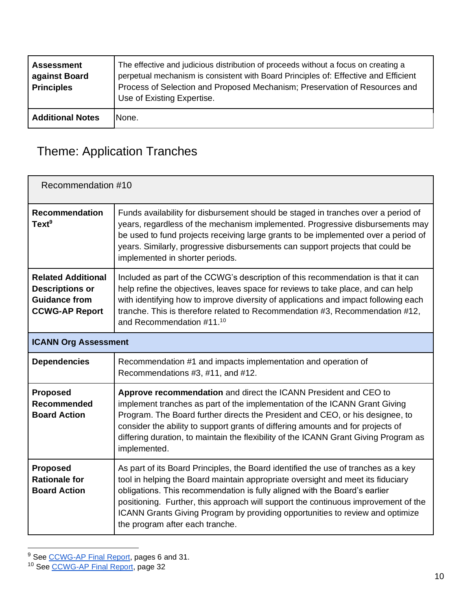| <b>Assessment</b><br>against Board<br><b>Principles</b> | The effective and judicious distribution of proceeds without a focus on creating a<br>perpetual mechanism is consistent with Board Principles of: Effective and Efficient<br>Process of Selection and Proposed Mechanism; Preservation of Resources and<br>Use of Existing Expertise. |
|---------------------------------------------------------|---------------------------------------------------------------------------------------------------------------------------------------------------------------------------------------------------------------------------------------------------------------------------------------|
| <b>Additional Notes</b>                                 | None.                                                                                                                                                                                                                                                                                 |

## <span id="page-10-0"></span>Theme: Application Tranches

<span id="page-10-1"></span>

| Recommendation #10                                                                                   |                                                                                                                                                                                                                                                                                                                                                                                                                                                               |  |
|------------------------------------------------------------------------------------------------------|---------------------------------------------------------------------------------------------------------------------------------------------------------------------------------------------------------------------------------------------------------------------------------------------------------------------------------------------------------------------------------------------------------------------------------------------------------------|--|
| <b>Recommendation</b><br>Text <sup>9</sup>                                                           | Funds availability for disbursement should be staged in tranches over a period of<br>years, regardless of the mechanism implemented. Progressive disbursements may<br>be used to fund projects receiving large grants to be implemented over a period of<br>years. Similarly, progressive disbursements can support projects that could be<br>implemented in shorter periods.                                                                                 |  |
| <b>Related Additional</b><br><b>Descriptions or</b><br><b>Guidance from</b><br><b>CCWG-AP Report</b> | Included as part of the CCWG's description of this recommendation is that it can<br>help refine the objectives, leaves space for reviews to take place, and can help<br>with identifying how to improve diversity of applications and impact following each<br>tranche. This is therefore related to Recommendation #3, Recommendation #12,<br>and Recommendation #11.10                                                                                      |  |
| <b>ICANN Org Assessment</b>                                                                          |                                                                                                                                                                                                                                                                                                                                                                                                                                                               |  |
| <b>Dependencies</b>                                                                                  | Recommendation #1 and impacts implementation and operation of<br>Recommendations #3, #11, and #12.                                                                                                                                                                                                                                                                                                                                                            |  |
| <b>Proposed</b><br><b>Recommended</b><br><b>Board Action</b>                                         | Approve recommendation and direct the ICANN President and CEO to<br>implement tranches as part of the implementation of the ICANN Grant Giving<br>Program. The Board further directs the President and CEO, or his designee, to<br>consider the ability to support grants of differing amounts and for projects of<br>differing duration, to maintain the flexibility of the ICANN Grant Giving Program as<br>implemented.                                    |  |
| <b>Proposed</b><br><b>Rationale for</b><br><b>Board Action</b>                                       | As part of its Board Principles, the Board identified the use of tranches as a key<br>tool in helping the Board maintain appropriate oversight and meet its fiduciary<br>obligations. This recommendation is fully aligned with the Board's earlier<br>positioning. Further, this approach will support the continuous improvement of the<br>ICANN Grants Giving Program by providing opportunities to review and optimize<br>the program after each tranche. |  |

<sup>&</sup>lt;sup>9</sup> See [CCWG-AP Final Report,](https://community.icann.org/download/attachments/63149512/New%20gTLD%20AP%20CCWG%20Final%20Report_29%20May%202020.pdf?version=1&modificationDate=1590774896000&api=v2) pages 6 and 31.

<sup>&</sup>lt;sup>10</sup> See [CCWG-AP Final Report,](https://community.icann.org/download/attachments/63149512/New%20gTLD%20AP%20CCWG%20Final%20Report_29%20May%202020.pdf?version=1&modificationDate=1590774896000&api=v2) page 32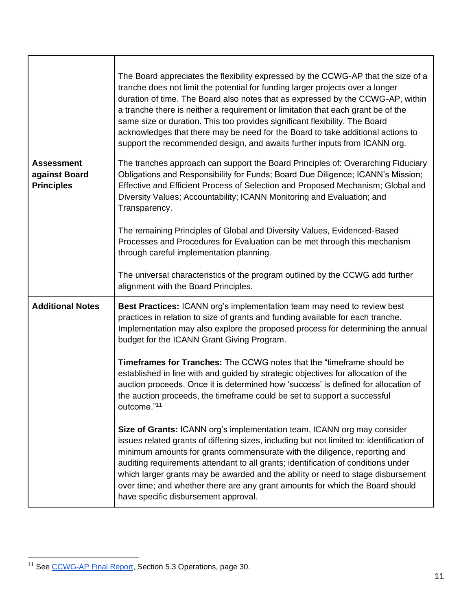|                                                         | The Board appreciates the flexibility expressed by the CCWG-AP that the size of a<br>tranche does not limit the potential for funding larger projects over a longer<br>duration of time. The Board also notes that as expressed by the CCWG-AP, within<br>a tranche there is neither a requirement or limitation that each grant be of the<br>same size or duration. This too provides significant flexibility. The Board<br>acknowledges that there may be need for the Board to take additional actions to<br>support the recommended design, and awaits further inputs from ICANN org. |
|---------------------------------------------------------|-------------------------------------------------------------------------------------------------------------------------------------------------------------------------------------------------------------------------------------------------------------------------------------------------------------------------------------------------------------------------------------------------------------------------------------------------------------------------------------------------------------------------------------------------------------------------------------------|
| <b>Assessment</b><br>against Board<br><b>Principles</b> | The tranches approach can support the Board Principles of: Overarching Fiduciary<br>Obligations and Responsibility for Funds; Board Due Diligence; ICANN's Mission;<br>Effective and Efficient Process of Selection and Proposed Mechanism; Global and<br>Diversity Values; Accountability; ICANN Monitoring and Evaluation; and<br>Transparency.                                                                                                                                                                                                                                         |
|                                                         | The remaining Principles of Global and Diversity Values, Evidenced-Based<br>Processes and Procedures for Evaluation can be met through this mechanism<br>through careful implementation planning.                                                                                                                                                                                                                                                                                                                                                                                         |
|                                                         | The universal characteristics of the program outlined by the CCWG add further<br>alignment with the Board Principles.                                                                                                                                                                                                                                                                                                                                                                                                                                                                     |
| <b>Additional Notes</b>                                 | Best Practices: ICANN org's implementation team may need to review best<br>practices in relation to size of grants and funding available for each tranche.<br>Implementation may also explore the proposed process for determining the annual<br>budget for the ICANN Grant Giving Program.                                                                                                                                                                                                                                                                                               |
|                                                         | <b>Timeframes for Tranches:</b> The CCWG notes that the "timeframe should be<br>established in line with and guided by strategic objectives for allocation of the<br>auction proceeds. Once it is determined how 'success' is defined for allocation of<br>the auction proceeds, the timeframe could be set to support a successful<br>outcome."11                                                                                                                                                                                                                                        |
|                                                         | Size of Grants: ICANN org's implementation team, ICANN org may consider<br>issues related grants of differing sizes, including but not limited to: identification of<br>minimum amounts for grants commensurate with the diligence, reporting and<br>auditing requirements attendant to all grants; identification of conditions under<br>which larger grants may be awarded and the ability or need to stage disbursement<br>over time; and whether there are any grant amounts for which the Board should<br>have specific disbursement approval.                                       |

Г

٦

<span id="page-11-0"></span><sup>&</sup>lt;sup>11</sup> See [CCWG-AP Final Report,](https://community.icann.org/download/attachments/63149512/New%20gTLD%20AP%20CCWG%20Final%20Report_29%20May%202020.pdf?version=1&modificationDate=1590774896000&api=v2) Section 5.3 Operations, page 30.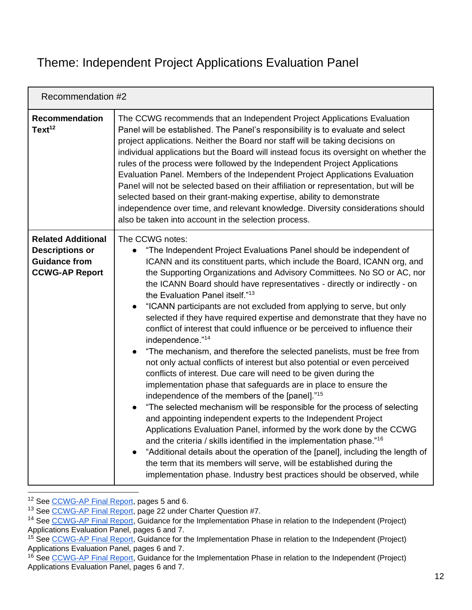### <span id="page-12-0"></span>Theme: Independent Project Applications Evaluation Panel

<span id="page-12-1"></span>

| Recommendation #2                                                                                    |                                                                                                                                                                                                                                                                                                                                                                                                                                                                                                                                                                                                                                                                                                                                                                                                                                                                                                                                                                                                                                                                                                                                                                                                                                                                                                                                                                                                                                                                                                                                                                             |
|------------------------------------------------------------------------------------------------------|-----------------------------------------------------------------------------------------------------------------------------------------------------------------------------------------------------------------------------------------------------------------------------------------------------------------------------------------------------------------------------------------------------------------------------------------------------------------------------------------------------------------------------------------------------------------------------------------------------------------------------------------------------------------------------------------------------------------------------------------------------------------------------------------------------------------------------------------------------------------------------------------------------------------------------------------------------------------------------------------------------------------------------------------------------------------------------------------------------------------------------------------------------------------------------------------------------------------------------------------------------------------------------------------------------------------------------------------------------------------------------------------------------------------------------------------------------------------------------------------------------------------------------------------------------------------------------|
| <b>Recommendation</b><br>Text <sup>12</sup>                                                          | The CCWG recommends that an Independent Project Applications Evaluation<br>Panel will be established. The Panel's responsibility is to evaluate and select<br>project applications. Neither the Board nor staff will be taking decisions on<br>individual applications but the Board will instead focus its oversight on whether the<br>rules of the process were followed by the Independent Project Applications<br>Evaluation Panel. Members of the Independent Project Applications Evaluation<br>Panel will not be selected based on their affiliation or representation, but will be<br>selected based on their grant-making expertise, ability to demonstrate<br>independence over time, and relevant knowledge. Diversity considerations should<br>also be taken into account in the selection process.                                                                                                                                                                                                                                                                                                                                                                                                                                                                                                                                                                                                                                                                                                                                                             |
| <b>Related Additional</b><br><b>Descriptions or</b><br><b>Guidance from</b><br><b>CCWG-AP Report</b> | The CCWG notes:<br>"The Independent Project Evaluations Panel should be independent of<br>$\bullet$<br>ICANN and its constituent parts, which include the Board, ICANN org, and<br>the Supporting Organizations and Advisory Committees. No SO or AC, nor<br>the ICANN Board should have representatives - directly or indirectly - on<br>the Evaluation Panel itself." <sup>13</sup><br>"ICANN participants are not excluded from applying to serve, but only<br>selected if they have required expertise and demonstrate that they have no<br>conflict of interest that could influence or be perceived to influence their<br>independence."14<br>"The mechanism, and therefore the selected panelists, must be free from<br>$\bullet$<br>not only actual conflicts of interest but also potential or even perceived<br>conflicts of interest. Due care will need to be given during the<br>implementation phase that safeguards are in place to ensure the<br>independence of the members of the [panel]." <sup>15</sup><br>"The selected mechanism will be responsible for the process of selecting<br>$\bullet$<br>and appointing independent experts to the Independent Project<br>Applications Evaluation Panel, informed by the work done by the CCWG<br>and the criteria / skills identified in the implementation phase."16<br>"Additional details about the operation of the [panel], including the length of<br>the term that its members will serve, will be established during the<br>implementation phase. Industry best practices should be observed, while |

<sup>12</sup> See [CCWG-AP Final Report,](https://community.icann.org/download/attachments/63149512/New%20gTLD%20AP%20CCWG%20Final%20Report_29%20May%202020.pdf?version=1&modificationDate=1590774896000&api=v2) pages 5 and 6.

<sup>13</sup> See [CCWG-AP Final Report,](https://community.icann.org/download/attachments/63149512/New%20gTLD%20AP%20CCWG%20Final%20Report_29%20May%202020.pdf?version=1&modificationDate=1590774896000&api=v2) page 22 under Charter Question #7.

<sup>&</sup>lt;sup>14</sup> See [CCWG-AP Final Report,](https://community.icann.org/download/attachments/63149512/New%20gTLD%20AP%20CCWG%20Final%20Report_29%20May%202020.pdf?version=1&modificationDate=1590774896000&api=v2) Guidance for the Implementation Phase in relation to the Independent (Project) Applications Evaluation Panel, pages 6 and 7.

<sup>&</sup>lt;sup>15</sup> See [CCWG-AP Final Report,](https://community.icann.org/download/attachments/63149512/New%20gTLD%20AP%20CCWG%20Final%20Report_29%20May%202020.pdf?version=1&modificationDate=1590774896000&api=v2) Guidance for the Implementation Phase in relation to the Independent (Project) Applications Evaluation Panel, pages 6 and 7.

<sup>&</sup>lt;sup>16</sup> See [CCWG-AP Final Report,](https://community.icann.org/download/attachments/63149512/New%20gTLD%20AP%20CCWG%20Final%20Report_29%20May%202020.pdf?version=1&modificationDate=1590774896000&api=v2) Guidance for the Implementation Phase in relation to the Independent (Project) Applications Evaluation Panel, pages 6 and 7.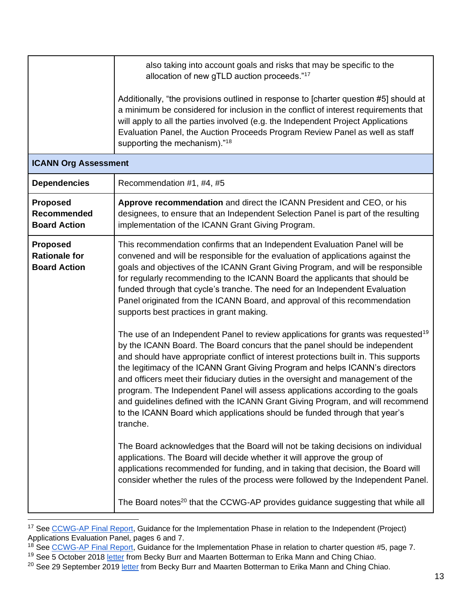| <b>ICANN Org Assessment</b>                                    | also taking into account goals and risks that may be specific to the<br>allocation of new gTLD auction proceeds."17<br>Additionally, "the provisions outlined in response to [charter question #5] should at<br>a minimum be considered for inclusion in the conflict of interest requirements that<br>will apply to all the parties involved (e.g. the Independent Project Applications<br>Evaluation Panel, the Auction Proceeds Program Review Panel as well as staff<br>supporting the mechanism)." <sup>18</sup>                                                                                                                                                                                                                                                                                                                                                                                                                                                                                                                                                                                                                                                                                                                                                                                                                                                                                                                                                                                                                                                                     |
|----------------------------------------------------------------|-------------------------------------------------------------------------------------------------------------------------------------------------------------------------------------------------------------------------------------------------------------------------------------------------------------------------------------------------------------------------------------------------------------------------------------------------------------------------------------------------------------------------------------------------------------------------------------------------------------------------------------------------------------------------------------------------------------------------------------------------------------------------------------------------------------------------------------------------------------------------------------------------------------------------------------------------------------------------------------------------------------------------------------------------------------------------------------------------------------------------------------------------------------------------------------------------------------------------------------------------------------------------------------------------------------------------------------------------------------------------------------------------------------------------------------------------------------------------------------------------------------------------------------------------------------------------------------------|
| <b>Dependencies</b>                                            | Recommendation #1, #4, #5                                                                                                                                                                                                                                                                                                                                                                                                                                                                                                                                                                                                                                                                                                                                                                                                                                                                                                                                                                                                                                                                                                                                                                                                                                                                                                                                                                                                                                                                                                                                                                 |
| <b>Proposed</b><br>Recommended<br><b>Board Action</b>          | Approve recommendation and direct the ICANN President and CEO, or his<br>designees, to ensure that an Independent Selection Panel is part of the resulting<br>implementation of the ICANN Grant Giving Program.                                                                                                                                                                                                                                                                                                                                                                                                                                                                                                                                                                                                                                                                                                                                                                                                                                                                                                                                                                                                                                                                                                                                                                                                                                                                                                                                                                           |
| <b>Proposed</b><br><b>Rationale for</b><br><b>Board Action</b> | This recommendation confirms that an Independent Evaluation Panel will be<br>convened and will be responsible for the evaluation of applications against the<br>goals and objectives of the ICANN Grant Giving Program, and will be responsible<br>for regularly recommending to the ICANN Board the applicants that should be<br>funded through that cycle's tranche. The need for an Independent Evaluation<br>Panel originated from the ICANN Board, and approval of this recommendation<br>supports best practices in grant making.<br>The use of an Independent Panel to review applications for grants was requested <sup>19</sup><br>by the ICANN Board. The Board concurs that the panel should be independent<br>and should have appropriate conflict of interest protections built in. This supports<br>the legitimacy of the ICANN Grant Giving Program and helps ICANN's directors<br>and officers meet their fiduciary duties in the oversight and management of the<br>program. The Independent Panel will assess applications according to the goals<br>and guidelines defined with the ICANN Grant Giving Program, and will recommend<br>to the ICANN Board which applications should be funded through that year's<br>tranche.<br>The Board acknowledges that the Board will not be taking decisions on individual<br>applications. The Board will decide whether it will approve the group of<br>applications recommended for funding, and in taking that decision, the Board will<br>consider whether the rules of the process were followed by the Independent Panel. |
|                                                                | The Board notes <sup>20</sup> that the CCWG-AP provides guidance suggesting that while all                                                                                                                                                                                                                                                                                                                                                                                                                                                                                                                                                                                                                                                                                                                                                                                                                                                                                                                                                                                                                                                                                                                                                                                                                                                                                                                                                                                                                                                                                                |

<sup>&</sup>lt;sup>17</sup> See [CCWG-AP Final Report,](https://community.icann.org/download/attachments/63149512/New%20gTLD%20AP%20CCWG%20Final%20Report_29%20May%202020.pdf?version=1&modificationDate=1590774896000&api=v2) Guidance for the Implementation Phase in relation to the Independent (Project) Applications Evaluation Panel, pages 6 and 7.

<sup>&</sup>lt;sup>18</sup> See [CCWG-AP Final Report,](https://community.icann.org/download/attachments/63149512/New%20gTLD%20AP%20CCWG%20Final%20Report_29%20May%202020.pdf?version=1&modificationDate=1590774896000&api=v2) Guidance for the Implementation Phase in relation to charter question #5, page 7.

<sup>&</sup>lt;sup>19</sup> See 5 October 2018 [letter](https://www.icann.org/en/system/files/correspondence/burr-botterman-to-mann-chiao-05oct18-en.pdf) from Becky Burr and Maarten Botterman to Erika Mann and Ching Chiao.

<sup>&</sup>lt;sup>20</sup> See 29 September 2019 [letter](https://www.icann.org/en/system/files/correspondence/burr-botterman-to-mann-chiao-29sep19-en.pdf) from Becky Burr and Maarten Botterman to Erika Mann and Ching Chiao.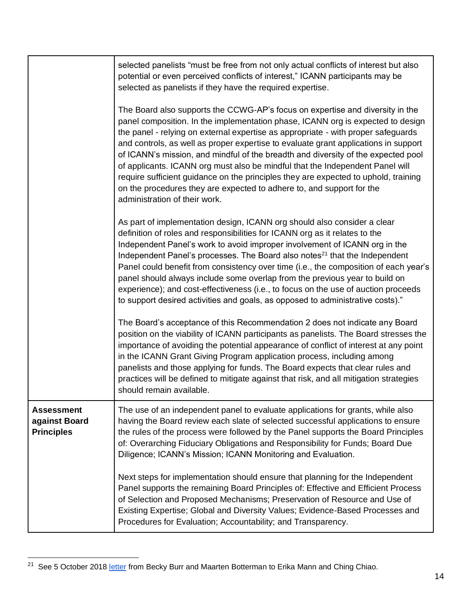|                                                         | selected panelists "must be free from not only actual conflicts of interest but also<br>potential or even perceived conflicts of interest," ICANN participants may be<br>selected as panelists if they have the required expertise.                                                                                                                                                                                                                                                                                                                                                                                                                                                                                 |
|---------------------------------------------------------|---------------------------------------------------------------------------------------------------------------------------------------------------------------------------------------------------------------------------------------------------------------------------------------------------------------------------------------------------------------------------------------------------------------------------------------------------------------------------------------------------------------------------------------------------------------------------------------------------------------------------------------------------------------------------------------------------------------------|
|                                                         | The Board also supports the CCWG-AP's focus on expertise and diversity in the<br>panel composition. In the implementation phase, ICANN org is expected to design<br>the panel - relying on external expertise as appropriate - with proper safeguards<br>and controls, as well as proper expertise to evaluate grant applications in support<br>of ICANN's mission, and mindful of the breadth and diversity of the expected pool<br>of applicants. ICANN org must also be mindful that the Independent Panel will<br>require sufficient guidance on the principles they are expected to uphold, training<br>on the procedures they are expected to adhere to, and support for the<br>administration of their work. |
|                                                         | As part of implementation design, ICANN org should also consider a clear<br>definition of roles and responsibilities for ICANN org as it relates to the<br>Independent Panel's work to avoid improper involvement of ICANN org in the<br>Independent Panel's processes. The Board also notes <sup>21</sup> that the Independent<br>Panel could benefit from consistency over time (i.e., the composition of each year's<br>panel should always include some overlap from the previous year to build on<br>experience); and cost-effectiveness (i.e., to focus on the use of auction proceeds<br>to support desired activities and goals, as opposed to administrative costs)."                                      |
|                                                         | The Board's acceptance of this Recommendation 2 does not indicate any Board<br>position on the viability of ICANN participants as panelists. The Board stresses the<br>importance of avoiding the potential appearance of conflict of interest at any point<br>in the ICANN Grant Giving Program application process, including among<br>panelists and those applying for funds. The Board expects that clear rules and<br>practices will be defined to mitigate against that risk, and all mitigation strategies<br>should remain available.                                                                                                                                                                       |
| <b>Assessment</b><br>against Board<br><b>Principles</b> | The use of an independent panel to evaluate applications for grants, while also<br>having the Board review each slate of selected successful applications to ensure<br>the rules of the process were followed by the Panel supports the Board Principles<br>of: Overarching Fiduciary Obligations and Responsibility for Funds; Board Due<br>Diligence; ICANN's Mission; ICANN Monitoring and Evaluation.                                                                                                                                                                                                                                                                                                           |
|                                                         | Next steps for implementation should ensure that planning for the Independent<br>Panel supports the remaining Board Principles of: Effective and Efficient Process<br>of Selection and Proposed Mechanisms; Preservation of Resource and Use of<br>Existing Expertise; Global and Diversity Values; Evidence-Based Processes and<br>Procedures for Evaluation; Accountability; and Transparency.                                                                                                                                                                                                                                                                                                                    |

<sup>&</sup>lt;sup>21</sup> See 5 October 2018 [letter](https://www.icann.org/en/system/files/correspondence/burr-botterman-to-mann-chiao-05oct18-en.pdf) from Becky Burr and Maarten Botterman to Erika Mann and Ching Chiao.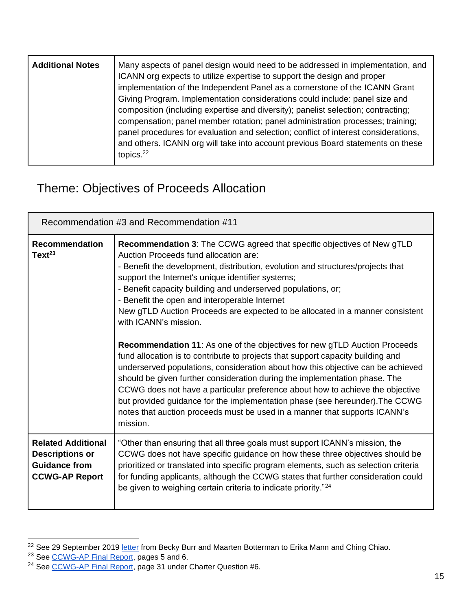| <b>Additional Notes</b> | Many aspects of panel design would need to be addressed in implementation, and<br>ICANN org expects to utilize expertise to support the design and proper<br>implementation of the Independent Panel as a cornerstone of the ICANN Grant<br>Giving Program. Implementation considerations could include: panel size and<br>composition (including expertise and diversity); panelist selection; contracting;<br>compensation; panel member rotation; panel administration processes; training;<br>panel procedures for evaluation and selection; conflict of interest considerations,<br>and others. ICANN org will take into account previous Board statements on these |
|-------------------------|--------------------------------------------------------------------------------------------------------------------------------------------------------------------------------------------------------------------------------------------------------------------------------------------------------------------------------------------------------------------------------------------------------------------------------------------------------------------------------------------------------------------------------------------------------------------------------------------------------------------------------------------------------------------------|
|                         | topics. $22$                                                                                                                                                                                                                                                                                                                                                                                                                                                                                                                                                                                                                                                             |

### <span id="page-15-0"></span>Theme: Objectives of Proceeds Allocation

<span id="page-15-1"></span>

| Recommendation #3 and Recommendation #11                                                             |                                                                                                                                                                                                                                                                                                                                                                                                                                                                                                                                                                                                                                                                                                                                                                                                                                                                                                                                                                                                                                                                                              |
|------------------------------------------------------------------------------------------------------|----------------------------------------------------------------------------------------------------------------------------------------------------------------------------------------------------------------------------------------------------------------------------------------------------------------------------------------------------------------------------------------------------------------------------------------------------------------------------------------------------------------------------------------------------------------------------------------------------------------------------------------------------------------------------------------------------------------------------------------------------------------------------------------------------------------------------------------------------------------------------------------------------------------------------------------------------------------------------------------------------------------------------------------------------------------------------------------------|
| <b>Recommendation</b><br>$Text^{23}$                                                                 | <b>Recommendation 3: The CCWG agreed that specific objectives of New gTLD</b><br>Auction Proceeds fund allocation are:<br>- Benefit the development, distribution, evolution and structures/projects that<br>support the Internet's unique identifier systems;<br>- Benefit capacity building and underserved populations, or;<br>- Benefit the open and interoperable Internet<br>New gTLD Auction Proceeds are expected to be allocated in a manner consistent<br>with ICANN's mission.<br><b>Recommendation 11:</b> As one of the objectives for new gTLD Auction Proceeds<br>fund allocation is to contribute to projects that support capacity building and<br>underserved populations, consideration about how this objective can be achieved<br>should be given further consideration during the implementation phase. The<br>CCWG does not have a particular preference about how to achieve the objective<br>but provided guidance for the implementation phase (see hereunder). The CCWG<br>notes that auction proceeds must be used in a manner that supports ICANN's<br>mission. |
| <b>Related Additional</b><br><b>Descriptions or</b><br><b>Guidance from</b><br><b>CCWG-AP Report</b> | "Other than ensuring that all three goals must support ICANN's mission, the<br>CCWG does not have specific guidance on how these three objectives should be<br>prioritized or translated into specific program elements, such as selection criteria<br>for funding applicants, although the CCWG states that further consideration could<br>be given to weighing certain criteria to indicate priority." <sup>24</sup>                                                                                                                                                                                                                                                                                                                                                                                                                                                                                                                                                                                                                                                                       |

<sup>&</sup>lt;sup>22</sup> See 29 September 2019 [letter](https://www.icann.org/en/system/files/correspondence/burr-botterman-to-mann-chiao-29sep19-en.pdf) from Becky Burr and Maarten Botterman to Erika Mann and Ching Chiao.

<sup>&</sup>lt;sup>23</sup> See [CCWG-AP Final Report,](https://community.icann.org/download/attachments/63149512/New%20gTLD%20AP%20CCWG%20Final%20Report_29%20May%202020.pdf?version=1&modificationDate=1590774896000&api=v2) pages 5 and 6.

<sup>&</sup>lt;sup>24</sup> See [CCWG-AP Final Report,](https://community.icann.org/download/attachments/63149512/New%20gTLD%20AP%20CCWG%20Final%20Report_29%20May%202020.pdf?version=1&modificationDate=1590774896000&api=v2) page 31 under Charter Question #6.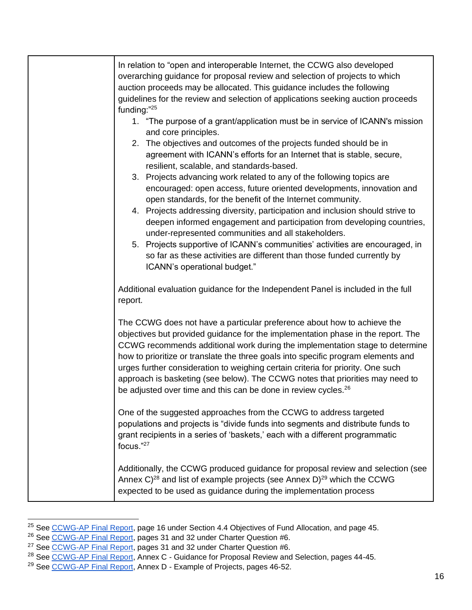| In relation to "open and interoperable Internet, the CCWG also developed<br>overarching guidance for proposal review and selection of projects to which<br>auction proceeds may be allocated. This guidance includes the following<br>guidelines for the review and selection of applications seeking auction proceeds<br>funding:"25<br>1. "The purpose of a grant/application must be in service of ICANN's mission<br>and core principles.<br>2. The objectives and outcomes of the projects funded should be in<br>agreement with ICANN's efforts for an Internet that is stable, secure,<br>resilient, scalable, and standards-based.<br>3. Projects advancing work related to any of the following topics are<br>encouraged: open access, future oriented developments, innovation and<br>open standards, for the benefit of the Internet community.<br>4. Projects addressing diversity, participation and inclusion should strive to<br>deepen informed engagement and participation from developing countries,<br>under-represented communities and all stakeholders.<br>5. Projects supportive of ICANN's communities' activities are encouraged, in<br>so far as these activities are different than those funded currently by<br>ICANN's operational budget." |
|---------------------------------------------------------------------------------------------------------------------------------------------------------------------------------------------------------------------------------------------------------------------------------------------------------------------------------------------------------------------------------------------------------------------------------------------------------------------------------------------------------------------------------------------------------------------------------------------------------------------------------------------------------------------------------------------------------------------------------------------------------------------------------------------------------------------------------------------------------------------------------------------------------------------------------------------------------------------------------------------------------------------------------------------------------------------------------------------------------------------------------------------------------------------------------------------------------------------------------------------------------------------------|
| Additional evaluation guidance for the Independent Panel is included in the full<br>report.                                                                                                                                                                                                                                                                                                                                                                                                                                                                                                                                                                                                                                                                                                                                                                                                                                                                                                                                                                                                                                                                                                                                                                               |
| The CCWG does not have a particular preference about how to achieve the<br>objectives but provided guidance for the implementation phase in the report. The<br>CCWG recommends additional work during the implementation stage to determine<br>how to prioritize or translate the three goals into specific program elements and<br>urges further consideration to weighing certain criteria for priority. One such<br>approach is basketing (see below). The CCWG notes that priorities may need to<br>be adjusted over time and this can be done in review cycles. <sup>26</sup>                                                                                                                                                                                                                                                                                                                                                                                                                                                                                                                                                                                                                                                                                        |
| One of the suggested approaches from the CCWG to address targeted<br>populations and projects is "divide funds into segments and distribute funds to<br>grant recipients in a series of 'baskets,' each with a different programmatic<br>focus."27                                                                                                                                                                                                                                                                                                                                                                                                                                                                                                                                                                                                                                                                                                                                                                                                                                                                                                                                                                                                                        |
| Additionally, the CCWG produced guidance for proposal review and selection (see<br>Annex $C^{28}$ and list of example projects (see Annex D) <sup>29</sup> which the CCWG<br>expected to be used as guidance during the implementation process                                                                                                                                                                                                                                                                                                                                                                                                                                                                                                                                                                                                                                                                                                                                                                                                                                                                                                                                                                                                                            |

<sup>&</sup>lt;sup>25</sup> See [CCWG-AP Final Report,](https://community.icann.org/download/attachments/63149512/New%20gTLD%20AP%20CCWG%20Final%20Report_29%20May%202020.pdf?version=1&modificationDate=1590774896000&api=v2) page 16 under Section 4.4 Objectives of Fund Allocation, and page 45.

<sup>&</sup>lt;sup>26</sup> See [CCWG-AP Final Report,](https://community.icann.org/download/attachments/63149512/New%20gTLD%20AP%20CCWG%20Final%20Report_29%20May%202020.pdf?version=1&modificationDate=1590774896000&api=v2) pages 31 and 32 under Charter Question #6.

<sup>&</sup>lt;sup>27</sup> See [CCWG-AP Final Report,](https://community.icann.org/download/attachments/63149512/New%20gTLD%20AP%20CCWG%20Final%20Report_29%20May%202020.pdf?version=1&modificationDate=1590774896000&api=v2) pages 31 and 32 under Charter Question #6.

<sup>&</sup>lt;sup>28</sup> See [CCWG-AP Final Report,](https://community.icann.org/download/attachments/63149512/New%20gTLD%20AP%20CCWG%20Final%20Report_29%20May%202020.pdf?version=1&modificationDate=1590774896000&api=v2) Annex C - Guidance for Proposal Review and Selection, pages 44-45.

<sup>&</sup>lt;sup>29</sup> See [CCWG-AP Final Report,](https://community.icann.org/download/attachments/63149512/New%20gTLD%20AP%20CCWG%20Final%20Report_29%20May%202020.pdf?version=1&modificationDate=1590774896000&api=v2) Annex D - Example of Projects, pages 46-52.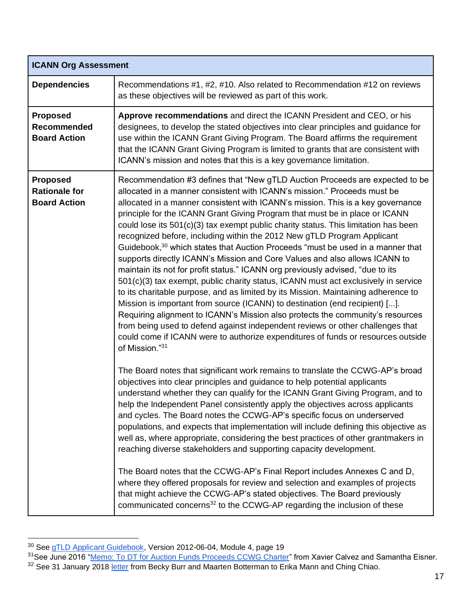| <b>ICANN Org Assessment</b>                                    |                                                                                                                                                                                                                                                                                                                                                                                                                                                                                                                                                                                                                                                                                                                                                                                                                                                                                                                                                                                                                                                                                                                                                                                                                                                                                                 |
|----------------------------------------------------------------|-------------------------------------------------------------------------------------------------------------------------------------------------------------------------------------------------------------------------------------------------------------------------------------------------------------------------------------------------------------------------------------------------------------------------------------------------------------------------------------------------------------------------------------------------------------------------------------------------------------------------------------------------------------------------------------------------------------------------------------------------------------------------------------------------------------------------------------------------------------------------------------------------------------------------------------------------------------------------------------------------------------------------------------------------------------------------------------------------------------------------------------------------------------------------------------------------------------------------------------------------------------------------------------------------|
| <b>Dependencies</b>                                            | Recommendations #1, #2, #10. Also related to Recommendation #12 on reviews<br>as these objectives will be reviewed as part of this work.                                                                                                                                                                                                                                                                                                                                                                                                                                                                                                                                                                                                                                                                                                                                                                                                                                                                                                                                                                                                                                                                                                                                                        |
| <b>Proposed</b><br>Recommended<br><b>Board Action</b>          | Approve recommendations and direct the ICANN President and CEO, or his<br>designees, to develop the stated objectives into clear principles and guidance for<br>use within the ICANN Grant Giving Program. The Board affirms the requirement<br>that the ICANN Grant Giving Program is limited to grants that are consistent with<br>ICANN's mission and notes that this is a key governance limitation.                                                                                                                                                                                                                                                                                                                                                                                                                                                                                                                                                                                                                                                                                                                                                                                                                                                                                        |
| <b>Proposed</b><br><b>Rationale for</b><br><b>Board Action</b> | Recommendation #3 defines that "New gTLD Auction Proceeds are expected to be<br>allocated in a manner consistent with ICANN's mission." Proceeds must be<br>allocated in a manner consistent with ICANN's mission. This is a key governance<br>principle for the ICANN Grant Giving Program that must be in place or ICANN<br>could lose its 501(c)(3) tax exempt public charity status. This limitation has been<br>recognized before, including within the 2012 New gTLD Program Applicant<br>Guidebook, <sup>30</sup> which states that Auction Proceeds "must be used in a manner that<br>supports directly ICANN's Mission and Core Values and also allows ICANN to<br>maintain its not for profit status." ICANN org previously advised, "due to its<br>501(c)(3) tax exempt, public charity status, ICANN must act exclusively in service<br>to its charitable purpose, and as limited by its Mission. Maintaining adherence to<br>Mission is important from source (ICANN) to destination (end recipient) [].<br>Requiring alignment to ICANN's Mission also protects the community's resources<br>from being used to defend against independent reviews or other challenges that<br>could come if ICANN were to authorize expenditures of funds or resources outside<br>of Mission."31 |
|                                                                | The Board notes that significant work remains to translate the CCWG-AP's broad<br>objectives into clear principles and guidance to help potential applicants<br>understand whether they can qualify for the ICANN Grant Giving Program, and to<br>help the Independent Panel consistently apply the objectives across applicants<br>and cycles. The Board notes the CCWG-AP's specific focus on underserved<br>populations, and expects that implementation will include defining this objective as<br>well as, where appropriate, considering the best practices of other grantmakers in<br>reaching diverse stakeholders and supporting capacity development.<br>The Board notes that the CCWG-AP's Final Report includes Annexes C and D,<br>where they offered proposals for review and selection and examples of projects<br>that might achieve the CCWG-AP's stated objectives. The Board previously<br>communicated concerns <sup>32</sup> to the CCWG-AP regarding the inclusion of these                                                                                                                                                                                                                                                                                               |

<sup>&</sup>lt;sup>30</sup> See <u>qTLD Applicant Guidebook</u>, Version 2012-06-04, Module 4, page 19

<sup>&</sup>lt;sup>31</sup>See June 2016 "<u>Memo: To DT for Auction Funds Proceeds CCWG Charter</u>" from Xavier Calvez and Samantha Eisner. <sup>32</sup> See 31 January 2018 [letter](https://www.icann.org/en/system/files/correspondence/botterman-burr-to-mann-chiao-31jan18-en.pdf) from Becky Burr and Maarten Botterman to Erika Mann and Ching Chiao.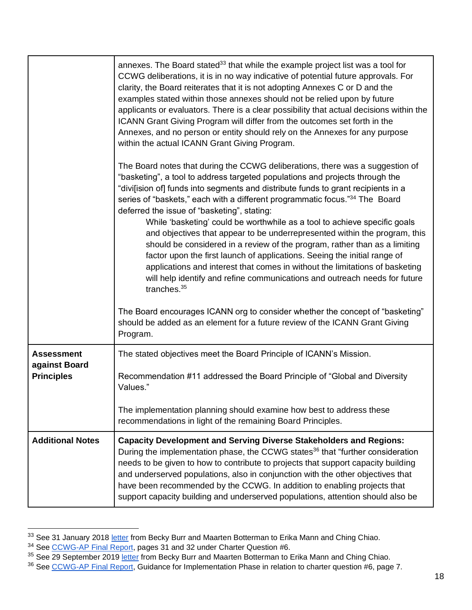|                                                         | annexes. The Board stated <sup>33</sup> that while the example project list was a tool for<br>CCWG deliberations, it is in no way indicative of potential future approvals. For<br>clarity, the Board reiterates that it is not adopting Annexes C or D and the<br>examples stated within those annexes should not be relied upon by future<br>applicants or evaluators. There is a clear possibility that actual decisions within the<br>ICANN Grant Giving Program will differ from the outcomes set forth in the<br>Annexes, and no person or entity should rely on the Annexes for any purpose<br>within the actual ICANN Grant Giving Program.                                                                                                                                                                                                                                                |
|---------------------------------------------------------|----------------------------------------------------------------------------------------------------------------------------------------------------------------------------------------------------------------------------------------------------------------------------------------------------------------------------------------------------------------------------------------------------------------------------------------------------------------------------------------------------------------------------------------------------------------------------------------------------------------------------------------------------------------------------------------------------------------------------------------------------------------------------------------------------------------------------------------------------------------------------------------------------|
|                                                         | The Board notes that during the CCWG deliberations, there was a suggestion of<br>"basketing", a tool to address targeted populations and projects through the<br>"divi[ision of] funds into segments and distribute funds to grant recipients in a<br>series of "baskets," each with a different programmatic focus." <sup>34</sup> The Board<br>deferred the issue of "basketing", stating:<br>While 'basketing' could be worthwhile as a tool to achieve specific goals<br>and objectives that appear to be underrepresented within the program, this<br>should be considered in a review of the program, rather than as a limiting<br>factor upon the first launch of applications. Seeing the initial range of<br>applications and interest that comes in without the limitations of basketing<br>will help identify and refine communications and outreach needs for future<br>tranches. $35$ |
|                                                         | The Board encourages ICANN org to consider whether the concept of "basketing"<br>should be added as an element for a future review of the ICANN Grant Giving<br>Program.                                                                                                                                                                                                                                                                                                                                                                                                                                                                                                                                                                                                                                                                                                                           |
| <b>Assessment</b><br>against Board<br><b>Principles</b> | The stated objectives meet the Board Principle of ICANN's Mission.<br>Recommendation #11 addressed the Board Principle of "Global and Diversity<br>Values."<br>The implementation planning should examine how best to address these<br>recommendations in light of the remaining Board Principles.                                                                                                                                                                                                                                                                                                                                                                                                                                                                                                                                                                                                 |
| <b>Additional Notes</b>                                 | <b>Capacity Development and Serving Diverse Stakeholders and Regions:</b><br>During the implementation phase, the CCWG states <sup>36</sup> that "further consideration<br>needs to be given to how to contribute to projects that support capacity building<br>and underserved populations, also in conjunction with the other objectives that<br>have been recommended by the CCWG. In addition to enabling projects that<br>support capacity building and underserved populations, attention should also be                                                                                                                                                                                                                                                                                                                                                                                     |

<sup>&</sup>lt;sup>33</sup> See 31 January 2018 [letter](https://www.icann.org/en/system/files/correspondence/botterman-burr-to-mann-chiao-31jan18-en.pdf) from Becky Burr and Maarten Botterman to Erika Mann and Ching Chiao.

<sup>&</sup>lt;sup>34</sup> See [CCWG-AP Final Report,](https://community.icann.org/download/attachments/63149512/New%20gTLD%20AP%20CCWG%20Final%20Report_29%20May%202020.pdf?version=1&modificationDate=1590774896000&api=v2) pages 31 and 32 under Charter Question #6.

<sup>&</sup>lt;sup>35</sup> See 29 September 2019 [letter](https://www.icann.org/en/system/files/correspondence/burr-botterman-to-mann-chiao-29sep19-en.pdf) from Becky Burr and Maarten Botterman to Erika Mann and Ching Chiao.

<sup>&</sup>lt;sup>36</sup> See [CCWG-AP Final Report,](https://community.icann.org/download/attachments/63149512/New%20gTLD%20AP%20CCWG%20Final%20Report_29%20May%202020.pdf?version=1&modificationDate=1590774896000&api=v2) Guidance for Implementation Phase in relation to charter question #6, page 7.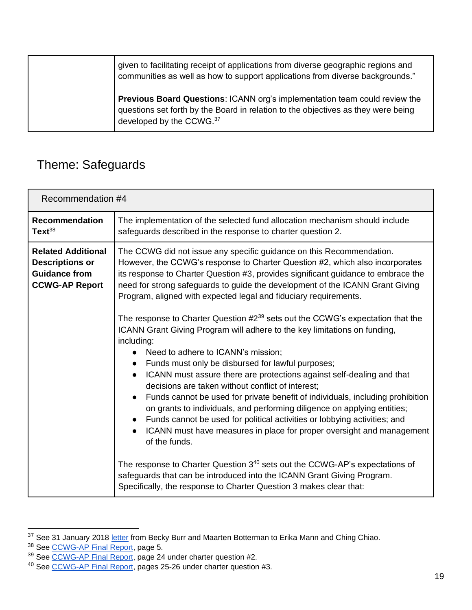| given to facilitating receipt of applications from diverse geographic regions and<br>communities as well as how to support applications from diverse backgrounds."                           |
|----------------------------------------------------------------------------------------------------------------------------------------------------------------------------------------------|
| Previous Board Questions: ICANN org's implementation team could review the<br>questions set forth by the Board in relation to the objectives as they were being<br>developed by the CCWG. 37 |

### <span id="page-19-0"></span>Theme: Safeguards

<span id="page-19-1"></span>

| Recommendation #4                                                                                    |                                                                                                                                                                                                                                                                                                                                                                                                                                                                                                                                                                                                                                                                                                                                                                                                                                                                                                                                                        |
|------------------------------------------------------------------------------------------------------|--------------------------------------------------------------------------------------------------------------------------------------------------------------------------------------------------------------------------------------------------------------------------------------------------------------------------------------------------------------------------------------------------------------------------------------------------------------------------------------------------------------------------------------------------------------------------------------------------------------------------------------------------------------------------------------------------------------------------------------------------------------------------------------------------------------------------------------------------------------------------------------------------------------------------------------------------------|
| <b>Recommendation</b><br>Text <sup>38</sup>                                                          | The implementation of the selected fund allocation mechanism should include<br>safeguards described in the response to charter question 2.                                                                                                                                                                                                                                                                                                                                                                                                                                                                                                                                                                                                                                                                                                                                                                                                             |
| <b>Related Additional</b><br><b>Descriptions or</b><br><b>Guidance from</b><br><b>CCWG-AP Report</b> | The CCWG did not issue any specific guidance on this Recommendation.<br>However, the CCWG's response to Charter Question #2, which also incorporates<br>its response to Charter Question #3, provides significant guidance to embrace the<br>need for strong safeguards to guide the development of the ICANN Grant Giving<br>Program, aligned with expected legal and fiduciary requirements.<br>The response to Charter Question #2 <sup>39</sup> sets out the CCWG's expectation that the<br>ICANN Grant Giving Program will adhere to the key limitations on funding,<br>including:<br>Need to adhere to ICANN's mission;<br>$\bullet$<br>Funds must only be disbursed for lawful purposes;<br>$\bullet$<br>ICANN must assure there are protections against self-dealing and that<br>$\bullet$<br>decisions are taken without conflict of interest;<br>Funds cannot be used for private benefit of individuals, including prohibition<br>$\bullet$ |
|                                                                                                      | on grants to individuals, and performing diligence on applying entities;<br>Funds cannot be used for political activities or lobbying activities; and<br>ICANN must have measures in place for proper oversight and management<br>$\bullet$<br>of the funds.<br>The response to Charter Question 3 <sup>40</sup> sets out the CCWG-AP's expectations of<br>safeguards that can be introduced into the ICANN Grant Giving Program.<br>Specifically, the response to Charter Question 3 makes clear that:                                                                                                                                                                                                                                                                                                                                                                                                                                                |

<sup>&</sup>lt;sup>37</sup> See 31 January 2018 [letter](https://www.icann.org/en/system/files/correspondence/botterman-burr-to-mann-chiao-31jan18-en.pdf) from Becky Burr and Maarten Botterman to Erika Mann and Ching Chiao.

<sup>&</sup>lt;sup>38</sup> See [CCWG-AP Final Report,](https://community.icann.org/download/attachments/63149512/New%20gTLD%20AP%20CCWG%20Final%20Report_29%20May%202020.pdf?version=1&modificationDate=1590774896000&api=v2) page 5.

<sup>&</sup>lt;sup>39</sup> See [CCWG-AP Final Report,](https://community.icann.org/download/attachments/63149512/New%20gTLD%20AP%20CCWG%20Final%20Report_29%20May%202020.pdf?version=1&modificationDate=1590774896000&api=v2) page 24 under charter question #2.

<sup>&</sup>lt;sup>40</sup> See [CCWG-AP Final Report,](https://community.icann.org/download/attachments/63149512/New%20gTLD%20AP%20CCWG%20Final%20Report_29%20May%202020.pdf?version=1&modificationDate=1590774896000&api=v2) pages 25-26 under charter question #3.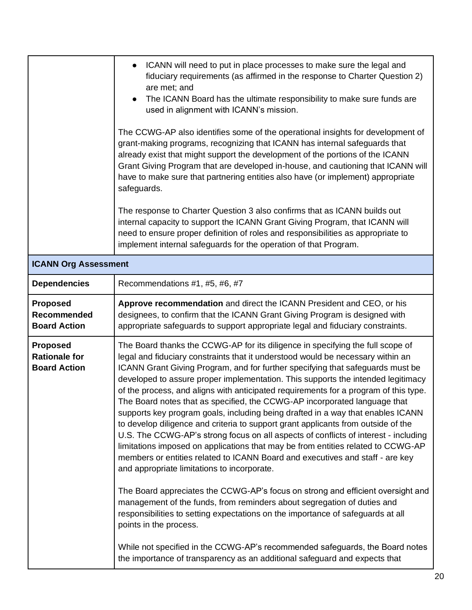|                                                                | ICANN will need to put in place processes to make sure the legal and<br>$\bullet$<br>fiduciary requirements (as affirmed in the response to Charter Question 2)<br>are met; and<br>The ICANN Board has the ultimate responsibility to make sure funds are<br>$\bullet$<br>used in alignment with ICANN's mission.<br>The CCWG-AP also identifies some of the operational insights for development of<br>grant-making programs, recognizing that ICANN has internal safeguards that<br>already exist that might support the development of the portions of the ICANN<br>Grant Giving Program that are developed in-house, and cautioning that ICANN will<br>have to make sure that partnering entities also have (or implement) appropriate<br>safeguards.<br>The response to Charter Question 3 also confirms that as ICANN builds out<br>internal capacity to support the ICANN Grant Giving Program, that ICANN will<br>need to ensure proper definition of roles and responsibilities as appropriate to<br>implement internal safeguards for the operation of that Program.                                                                                                                                                                                                                                                                                                                                                           |
|----------------------------------------------------------------|------------------------------------------------------------------------------------------------------------------------------------------------------------------------------------------------------------------------------------------------------------------------------------------------------------------------------------------------------------------------------------------------------------------------------------------------------------------------------------------------------------------------------------------------------------------------------------------------------------------------------------------------------------------------------------------------------------------------------------------------------------------------------------------------------------------------------------------------------------------------------------------------------------------------------------------------------------------------------------------------------------------------------------------------------------------------------------------------------------------------------------------------------------------------------------------------------------------------------------------------------------------------------------------------------------------------------------------------------------------------------------------------------------------------------------------|
| <b>ICANN Org Assessment</b>                                    |                                                                                                                                                                                                                                                                                                                                                                                                                                                                                                                                                                                                                                                                                                                                                                                                                                                                                                                                                                                                                                                                                                                                                                                                                                                                                                                                                                                                                                          |
| <b>Dependencies</b>                                            | Recommendations #1, #5, #6, #7                                                                                                                                                                                                                                                                                                                                                                                                                                                                                                                                                                                                                                                                                                                                                                                                                                                                                                                                                                                                                                                                                                                                                                                                                                                                                                                                                                                                           |
| <b>Proposed</b><br><b>Recommended</b><br><b>Board Action</b>   | Approve recommendation and direct the ICANN President and CEO, or his<br>designees, to confirm that the ICANN Grant Giving Program is designed with<br>appropriate safeguards to support appropriate legal and fiduciary constraints.                                                                                                                                                                                                                                                                                                                                                                                                                                                                                                                                                                                                                                                                                                                                                                                                                                                                                                                                                                                                                                                                                                                                                                                                    |
| <b>Proposed</b><br><b>Rationale for</b><br><b>Board Action</b> | The Board thanks the CCWG-AP for its diligence in specifying the full scope of<br>legal and fiduciary constraints that it understood would be necessary within an<br>ICANN Grant Giving Program, and for further specifying that safeguards must be<br>developed to assure proper implementation. This supports the intended legitimacy<br>of the process, and aligns with anticipated requirements for a program of this type.<br>The Board notes that as specified, the CCWG-AP incorporated language that<br>supports key program goals, including being drafted in a way that enables ICANN<br>to develop diligence and criteria to support grant applicants from outside of the<br>U.S. The CCWG-AP's strong focus on all aspects of conflicts of interest - including<br>limitations imposed on applications that may be from entities related to CCWG-AP<br>members or entities related to ICANN Board and executives and staff - are key<br>and appropriate limitations to incorporate.<br>The Board appreciates the CCWG-AP's focus on strong and efficient oversight and<br>management of the funds, from reminders about segregation of duties and<br>responsibilities to setting expectations on the importance of safeguards at all<br>points in the process.<br>While not specified in the CCWG-AP's recommended safeguards, the Board notes<br>the importance of transparency as an additional safeguard and expects that |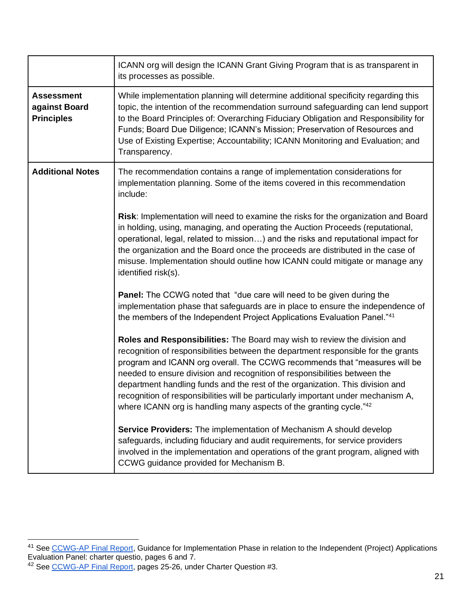|                                                         | ICANN org will design the ICANN Grant Giving Program that is as transparent in<br>its processes as possible.                                                                                                                                                                                                                                                                                                                                                                                                                                                                     |
|---------------------------------------------------------|----------------------------------------------------------------------------------------------------------------------------------------------------------------------------------------------------------------------------------------------------------------------------------------------------------------------------------------------------------------------------------------------------------------------------------------------------------------------------------------------------------------------------------------------------------------------------------|
| <b>Assessment</b><br>against Board<br><b>Principles</b> | While implementation planning will determine additional specificity regarding this<br>topic, the intention of the recommendation surround safeguarding can lend support<br>to the Board Principles of: Overarching Fiduciary Obligation and Responsibility for<br>Funds; Board Due Diligence; ICANN's Mission; Preservation of Resources and<br>Use of Existing Expertise; Accountability; ICANN Monitoring and Evaluation; and<br>Transparency.                                                                                                                                 |
| <b>Additional Notes</b>                                 | The recommendation contains a range of implementation considerations for<br>implementation planning. Some of the items covered in this recommendation<br>include:                                                                                                                                                                                                                                                                                                                                                                                                                |
|                                                         | Risk: Implementation will need to examine the risks for the organization and Board<br>in holding, using, managing, and operating the Auction Proceeds (reputational,<br>operational, legal, related to mission) and the risks and reputational impact for<br>the organization and the Board once the proceeds are distributed in the case of<br>misuse. Implementation should outline how ICANN could mitigate or manage any<br>identified risk(s).                                                                                                                              |
|                                                         | <b>Panel:</b> The CCWG noted that "due care will need to be given during the<br>implementation phase that safeguards are in place to ensure the independence of<br>the members of the Independent Project Applications Evaluation Panel."41                                                                                                                                                                                                                                                                                                                                      |
|                                                         | Roles and Responsibilities: The Board may wish to review the division and<br>recognition of responsibilities between the department responsible for the grants<br>program and ICANN org overall. The CCWG recommends that "measures will be<br>needed to ensure division and recognition of responsibilities between the<br>department handling funds and the rest of the organization. This division and<br>recognition of responsibilities will be particularly important under mechanism A,<br>where ICANN org is handling many aspects of the granting cycle." <sup>42</sup> |
|                                                         | Service Providers: The implementation of Mechanism A should develop<br>safeguards, including fiduciary and audit requirements, for service providers<br>involved in the implementation and operations of the grant program, aligned with<br>CCWG guidance provided for Mechanism B.                                                                                                                                                                                                                                                                                              |

<span id="page-21-0"></span><sup>&</sup>lt;sup>41</sup> See [CCWG-AP Final Report,](https://community.icann.org/download/attachments/63149512/New%20gTLD%20AP%20CCWG%20Final%20Report_29%20May%202020.pdf?version=1&modificationDate=1590774896000&api=v2) Guidance for Implementation Phase in relation to the Independent (Project) Applications Evaluation Panel: charter questio, pages 6 and 7.

<sup>&</sup>lt;sup>42</sup> See [CCWG-AP Final Report,](https://community.icann.org/download/attachments/63149512/New%20gTLD%20AP%20CCWG%20Final%20Report_29%20May%202020.pdf?version=1&modificationDate=1590774896000&api=v2) pages 25-26, under Charter Question #3.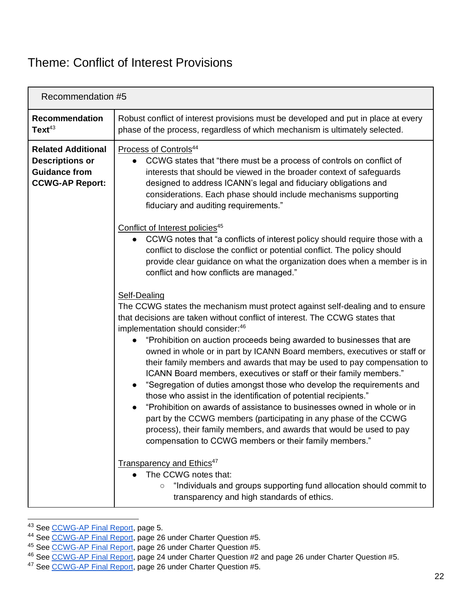#### Theme: Conflict of Interest Provisions

<span id="page-22-0"></span>

|                                                                                                       | Recommendation #5                                                                                                                                                                                                                                                                                                                                                                                                                                                                                                                                                                                                                                                                                                                                                                                                                                                                                                                                                                                                                                                                                                                                                     |  |
|-------------------------------------------------------------------------------------------------------|-----------------------------------------------------------------------------------------------------------------------------------------------------------------------------------------------------------------------------------------------------------------------------------------------------------------------------------------------------------------------------------------------------------------------------------------------------------------------------------------------------------------------------------------------------------------------------------------------------------------------------------------------------------------------------------------------------------------------------------------------------------------------------------------------------------------------------------------------------------------------------------------------------------------------------------------------------------------------------------------------------------------------------------------------------------------------------------------------------------------------------------------------------------------------|--|
| <b>Recommendation</b><br>Text <sup>43</sup>                                                           | Robust conflict of interest provisions must be developed and put in place at every<br>phase of the process, regardless of which mechanism is ultimately selected.                                                                                                                                                                                                                                                                                                                                                                                                                                                                                                                                                                                                                                                                                                                                                                                                                                                                                                                                                                                                     |  |
| <b>Related Additional</b><br><b>Descriptions or</b><br><b>Guidance from</b><br><b>CCWG-AP Report:</b> | Process of Controls <sup>44</sup><br>CCWG states that "there must be a process of controls on conflict of<br>interests that should be viewed in the broader context of safeguards<br>designed to address ICANN's legal and fiduciary obligations and<br>considerations. Each phase should include mechanisms supporting<br>fiduciary and auditing requirements."                                                                                                                                                                                                                                                                                                                                                                                                                                                                                                                                                                                                                                                                                                                                                                                                      |  |
|                                                                                                       | Conflict of Interest policies <sup>45</sup><br>CCWG notes that "a conflicts of interest policy should require those with a<br>conflict to disclose the conflict or potential conflict. The policy should<br>provide clear guidance on what the organization does when a member is in<br>conflict and how conflicts are managed."                                                                                                                                                                                                                                                                                                                                                                                                                                                                                                                                                                                                                                                                                                                                                                                                                                      |  |
|                                                                                                       | Self-Dealing<br>The CCWG states the mechanism must protect against self-dealing and to ensure<br>that decisions are taken without conflict of interest. The CCWG states that<br>implementation should consider:46<br>"Prohibition on auction proceeds being awarded to businesses that are<br>owned in whole or in part by ICANN Board members, executives or staff or<br>their family members and awards that may be used to pay compensation to<br>ICANN Board members, executives or staff or their family members."<br>"Segregation of duties amongst those who develop the requirements and<br>$\bullet$<br>those who assist in the identification of potential recipients."<br>"Prohibition on awards of assistance to businesses owned in whole or in<br>$\bullet$<br>part by the CCWG members (participating in any phase of the CCWG<br>process), their family members, and awards that would be used to pay<br>compensation to CCWG members or their family members."<br>Transparency and Ethics <sup>47</sup><br>The CCWG notes that:<br>"Individuals and groups supporting fund allocation should commit to<br>transparency and high standards of ethics. |  |

<sup>43</sup> See [CCWG-AP Final Report,](https://community.icann.org/download/attachments/63149512/New%20gTLD%20AP%20CCWG%20Final%20Report_29%20May%202020.pdf?version=1&modificationDate=1590774896000&api=v2) page 5.

<sup>44</sup> See [CCWG-AP Final Report,](https://community.icann.org/download/attachments/63149512/New%20gTLD%20AP%20CCWG%20Final%20Report_29%20May%202020.pdf?version=1&modificationDate=1590774896000&api=v2) page 26 under Charter Question #5.

<sup>45</sup> See [CCWG-AP Final Report,](https://community.icann.org/download/attachments/63149512/New%20gTLD%20AP%20CCWG%20Final%20Report_29%20May%202020.pdf?version=1&modificationDate=1590774896000&api=v2) page 26 under Charter Question #5.

<sup>&</sup>lt;sup>46</sup> See [CCWG-AP Final Report,](https://community.icann.org/download/attachments/63149512/New%20gTLD%20AP%20CCWG%20Final%20Report_29%20May%202020.pdf?version=1&modificationDate=1590774896000&api=v2) page 24 under Charter Question #2 and page 26 under Charter Question #5.

<sup>&</sup>lt;sup>47</sup> See [CCWG-AP Final Report,](https://community.icann.org/download/attachments/63149512/New%20gTLD%20AP%20CCWG%20Final%20Report_29%20May%202020.pdf?version=1&modificationDate=1590774896000&api=v2) page 26 under Charter Question #5.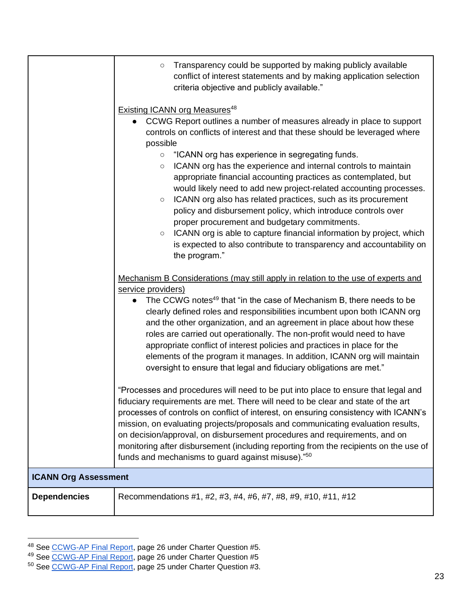|                     | Transparency could be supported by making publicly available<br>$\circ$<br>conflict of interest statements and by making application selection<br>criteria objective and publicly available."                                                                                                                                                                                                                                                                                                                                                                                                                                                                                                                                                                                                                                                                                                  |  |
|---------------------|------------------------------------------------------------------------------------------------------------------------------------------------------------------------------------------------------------------------------------------------------------------------------------------------------------------------------------------------------------------------------------------------------------------------------------------------------------------------------------------------------------------------------------------------------------------------------------------------------------------------------------------------------------------------------------------------------------------------------------------------------------------------------------------------------------------------------------------------------------------------------------------------|--|
|                     | <b>Existing ICANN org Measures</b> <sup>48</sup><br>CCWG Report outlines a number of measures already in place to support<br>$\bullet$<br>controls on conflicts of interest and that these should be leveraged where<br>possible<br>"ICANN org has experience in segregating funds.<br>$\circ$<br>ICANN org has the experience and internal controls to maintain<br>$\circ$<br>appropriate financial accounting practices as contemplated, but<br>would likely need to add new project-related accounting processes.<br>ICANN org also has related practices, such as its procurement<br>$\circ$<br>policy and disbursement policy, which introduce controls over<br>proper procurement and budgetary commitments.<br>ICANN org is able to capture financial information by project, which<br>$\circ$<br>is expected to also contribute to transparency and accountability on<br>the program." |  |
|                     | Mechanism B Considerations (may still apply in relation to the use of experts and<br>service providers)<br>The CCWG notes <sup>49</sup> that "in the case of Mechanism B, there needs to be<br>$\bullet$<br>clearly defined roles and responsibilities incumbent upon both ICANN org<br>and the other organization, and an agreement in place about how these<br>roles are carried out operationally. The non-profit would need to have<br>appropriate conflict of interest policies and practices in place for the<br>elements of the program it manages. In addition, ICANN org will maintain<br>oversight to ensure that legal and fiduciary obligations are met."                                                                                                                                                                                                                          |  |
|                     | "Processes and procedures will need to be put into place to ensure that legal and<br>fiduciary requirements are met. There will need to be clear and state of the art<br>processes of controls on conflict of interest, on ensuring consistency with ICANN's<br>mission, on evaluating projects/proposals and communicating evaluation results,<br>on decision/approval, on disbursement procedures and requirements, and on<br>monitoring after disbursement (including reporting from the recipients on the use of<br>funds and mechanisms to guard against misuse)."50                                                                                                                                                                                                                                                                                                                      |  |
|                     | <b>ICANN Org Assessment</b>                                                                                                                                                                                                                                                                                                                                                                                                                                                                                                                                                                                                                                                                                                                                                                                                                                                                    |  |
| <b>Dependencies</b> | Recommendations #1, #2, #3, #4, #6, #7, #8, #9, #10, #11, #12                                                                                                                                                                                                                                                                                                                                                                                                                                                                                                                                                                                                                                                                                                                                                                                                                                  |  |

<sup>&</sup>lt;sup>48</sup> See [CCWG-AP Final Report,](https://community.icann.org/download/attachments/63149512/New%20gTLD%20AP%20CCWG%20Final%20Report_29%20May%202020.pdf?version=1&modificationDate=1590774896000&api=v2) page 26 under Charter Question #5.

<sup>&</sup>lt;sup>49</sup> See [CCWG-AP Final Report,](https://community.icann.org/download/attachments/63149512/New%20gTLD%20AP%20CCWG%20Final%20Report_29%20May%202020.pdf?version=1&modificationDate=1590774896000&api=v2) page 26 under Charter Question #5

<sup>&</sup>lt;sup>50</sup> See [CCWG-AP Final Report,](https://community.icann.org/download/attachments/63149512/New%20gTLD%20AP%20CCWG%20Final%20Report_29%20May%202020.pdf?version=1&modificationDate=1590774896000&api=v2) page 25 under Charter Question #3.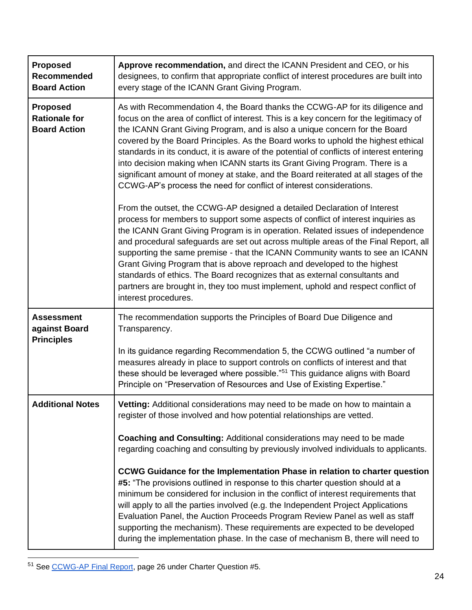| <b>Proposed</b><br><b>Recommended</b><br><b>Board Action</b>   | Approve recommendation, and direct the ICANN President and CEO, or his<br>designees, to confirm that appropriate conflict of interest procedures are built into<br>every stage of the ICANN Grant Giving Program.                                                                                                                                                                                                                                                                                                                                                                                                                                                                            |
|----------------------------------------------------------------|----------------------------------------------------------------------------------------------------------------------------------------------------------------------------------------------------------------------------------------------------------------------------------------------------------------------------------------------------------------------------------------------------------------------------------------------------------------------------------------------------------------------------------------------------------------------------------------------------------------------------------------------------------------------------------------------|
| <b>Proposed</b><br><b>Rationale for</b><br><b>Board Action</b> | As with Recommendation 4, the Board thanks the CCWG-AP for its diligence and<br>focus on the area of conflict of interest. This is a key concern for the legitimacy of<br>the ICANN Grant Giving Program, and is also a unique concern for the Board<br>covered by the Board Principles. As the Board works to uphold the highest ethical<br>standards in its conduct, it is aware of the potential of conflicts of interest entering<br>into decision making when ICANN starts its Grant Giving Program. There is a<br>significant amount of money at stake, and the Board reiterated at all stages of the<br>CCWG-AP's process the need for conflict of interest considerations.           |
|                                                                | From the outset, the CCWG-AP designed a detailed Declaration of Interest<br>process for members to support some aspects of conflict of interest inquiries as<br>the ICANN Grant Giving Program is in operation. Related issues of independence<br>and procedural safeguards are set out across multiple areas of the Final Report, all<br>supporting the same premise - that the ICANN Community wants to see an ICANN<br>Grant Giving Program that is above reproach and developed to the highest<br>standards of ethics. The Board recognizes that as external consultants and<br>partners are brought in, they too must implement, uphold and respect conflict of<br>interest procedures. |
| <b>Assessment</b><br>against Board<br><b>Principles</b>        | The recommendation supports the Principles of Board Due Diligence and<br>Transparency.                                                                                                                                                                                                                                                                                                                                                                                                                                                                                                                                                                                                       |
|                                                                | In its guidance regarding Recommendation 5, the CCWG outlined "a number of<br>measures already in place to support controls on conflicts of interest and that<br>these should be leveraged where possible." <sup>51</sup> This guidance aligns with Board<br>Principle on "Preservation of Resources and Use of Existing Expertise."                                                                                                                                                                                                                                                                                                                                                         |
| <b>Additional Notes</b>                                        | Vetting: Additional considerations may need to be made on how to maintain a<br>register of those involved and how potential relationships are vetted.                                                                                                                                                                                                                                                                                                                                                                                                                                                                                                                                        |
|                                                                | Coaching and Consulting: Additional considerations may need to be made<br>regarding coaching and consulting by previously involved individuals to applicants.                                                                                                                                                                                                                                                                                                                                                                                                                                                                                                                                |
|                                                                | CCWG Guidance for the Implementation Phase in relation to charter question<br>#5: "The provisions outlined in response to this charter question should at a<br>minimum be considered for inclusion in the conflict of interest requirements that<br>will apply to all the parties involved (e.g. the Independent Project Applications<br>Evaluation Panel, the Auction Proceeds Program Review Panel as well as staff<br>supporting the mechanism). These requirements are expected to be developed<br>during the implementation phase. In the case of mechanism B, there will need to                                                                                                       |

<sup>51</sup> See [CCWG-AP Final Report,](https://community.icann.org/download/attachments/63149512/New%20gTLD%20AP%20CCWG%20Final%20Report_29%20May%202020.pdf?version=1&modificationDate=1590774896000&api=v2) page 26 under Charter Question #5.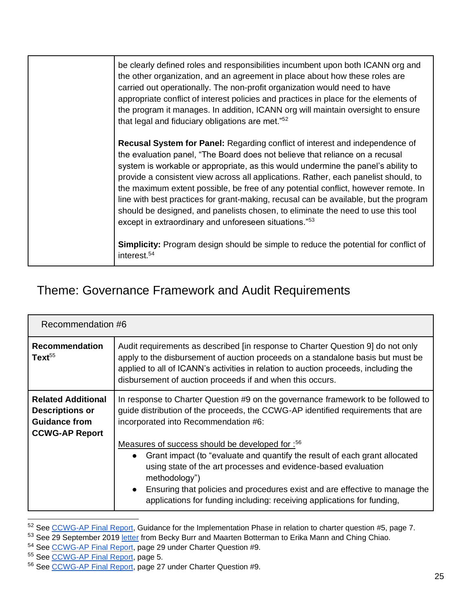|  | be clearly defined roles and responsibilities incumbent upon both ICANN org and<br>the other organization, and an agreement in place about how these roles are<br>carried out operationally. The non-profit organization would need to have<br>appropriate conflict of interest policies and practices in place for the elements of<br>the program it manages. In addition, ICANN org will maintain oversight to ensure<br>that legal and fiduciary obligations are met."52                                                                                                                                                                                         |
|--|---------------------------------------------------------------------------------------------------------------------------------------------------------------------------------------------------------------------------------------------------------------------------------------------------------------------------------------------------------------------------------------------------------------------------------------------------------------------------------------------------------------------------------------------------------------------------------------------------------------------------------------------------------------------|
|  | Recusal System for Panel: Regarding conflict of interest and independence of<br>the evaluation panel, "The Board does not believe that reliance on a recusal<br>system is workable or appropriate, as this would undermine the panel's ability to<br>provide a consistent view across all applications. Rather, each panelist should, to<br>the maximum extent possible, be free of any potential conflict, however remote. In<br>line with best practices for grant-making, recusal can be available, but the program<br>should be designed, and panelists chosen, to eliminate the need to use this tool<br>except in extraordinary and unforeseen situations."53 |
|  | <b>Simplicity:</b> Program design should be simple to reduce the potential for conflict of<br>interest. <sup>54</sup>                                                                                                                                                                                                                                                                                                                                                                                                                                                                                                                                               |

### <span id="page-25-0"></span>Theme: Governance Framework and Audit Requirements

<span id="page-25-1"></span>

| Recommendation #6                                                                                    |                                                                                                                                                                                                                                                                                                                                                                                 |
|------------------------------------------------------------------------------------------------------|---------------------------------------------------------------------------------------------------------------------------------------------------------------------------------------------------------------------------------------------------------------------------------------------------------------------------------------------------------------------------------|
| <b>Recommendation</b><br>Text <sup>55</sup>                                                          | Audit requirements as described [in response to Charter Question 9] do not only<br>apply to the disbursement of auction proceeds on a standalone basis but must be<br>applied to all of ICANN's activities in relation to auction proceeds, including the<br>disbursement of auction proceeds if and when this occurs.                                                          |
| <b>Related Additional</b><br><b>Descriptions or</b><br><b>Guidance from</b><br><b>CCWG-AP Report</b> | In response to Charter Question #9 on the governance framework to be followed to<br>guide distribution of the proceeds, the CCWG-AP identified requirements that are<br>incorporated into Recommendation #6:                                                                                                                                                                    |
|                                                                                                      | Measures of success should be developed for : 56<br>• Grant impact (to "evaluate and quantify the result of each grant allocated<br>using state of the art processes and evidence-based evaluation<br>methodology")<br>• Ensuring that policies and procedures exist and are effective to manage the<br>applications for funding including: receiving applications for funding, |

<sup>&</sup>lt;sup>52</sup> See [CCWG-AP Final Report,](https://community.icann.org/download/attachments/63149512/New%20gTLD%20AP%20CCWG%20Final%20Report_29%20May%202020.pdf?version=1&modificationDate=1590774896000&api=v2) Guidance for the Implementation Phase in relation to charter question #5, page 7.

<sup>53</sup> See 29 September 2019 [letter](https://www.icann.org/en/system/files/correspondence/burr-botterman-to-mann-chiao-29sep19-en.pdf) from Becky Burr and Maarten Botterman to Erika Mann and Ching Chiao.

<sup>54</sup> See [CCWG-AP Final Report,](https://community.icann.org/download/attachments/63149512/New%20gTLD%20AP%20CCWG%20Final%20Report_29%20May%202020.pdf?version=1&modificationDate=1590774896000&api=v2) page 29 under Charter Question #9.

<sup>55</sup> See [CCWG-AP Final Report,](https://community.icann.org/download/attachments/63149512/New%20gTLD%20AP%20CCWG%20Final%20Report_29%20May%202020.pdf?version=1&modificationDate=1590774896000&api=v2) page 5.

<sup>56</sup> See [CCWG-AP Final Report,](https://community.icann.org/download/attachments/63149512/New%20gTLD%20AP%20CCWG%20Final%20Report_29%20May%202020.pdf?version=1&modificationDate=1590774896000&api=v2) page 27 under Charter Question #9.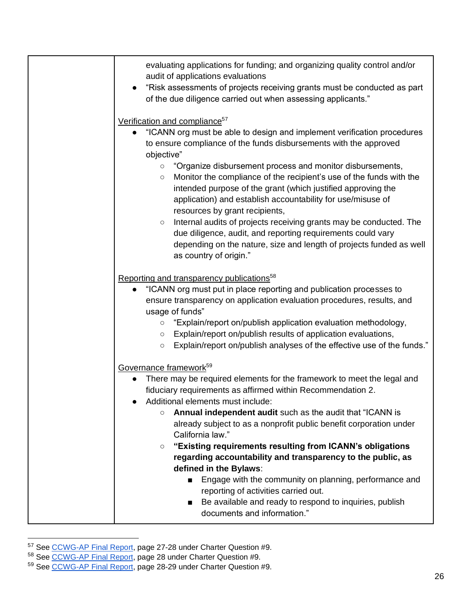| evaluating applications for funding; and organizing quality control and/or<br>audit of applications evaluations<br>"Risk assessments of projects receiving grants must be conducted as part<br>$\bullet$<br>of the due diligence carried out when assessing applicants."                                                                                                                |
|-----------------------------------------------------------------------------------------------------------------------------------------------------------------------------------------------------------------------------------------------------------------------------------------------------------------------------------------------------------------------------------------|
| Verification and compliance <sup>57</sup>                                                                                                                                                                                                                                                                                                                                               |
| "ICANN org must be able to design and implement verification procedures<br>to ensure compliance of the funds disbursements with the approved<br>objective"<br>"Organize disbursement process and monitor disbursements,<br>$\circ$<br>Monitor the compliance of the recipient's use of the funds with the<br>$\bigcirc$<br>intended purpose of the grant (which justified approving the |
| application) and establish accountability for use/misuse of                                                                                                                                                                                                                                                                                                                             |
| resources by grant recipients,<br>Internal audits of projects receiving grants may be conducted. The<br>$\bigcirc$<br>due diligence, audit, and reporting requirements could vary<br>depending on the nature, size and length of projects funded as well<br>as country of origin."                                                                                                      |
| Reporting and transparency publications <sup>58</sup>                                                                                                                                                                                                                                                                                                                                   |
| "ICANN org must put in place reporting and publication processes to<br>ensure transparency on application evaluation procedures, results, and<br>usage of funds"<br>"Explain/report on/publish application evaluation methodology,<br>$\circ$<br>Explain/report on/publish results of application evaluations,<br>$\circ$                                                               |
| Explain/report on/publish analyses of the effective use of the funds."<br>$\circ$                                                                                                                                                                                                                                                                                                       |
|                                                                                                                                                                                                                                                                                                                                                                                         |
| Governance framework <sup>59</sup><br>There may be required elements for the framework to meet the legal and<br>fiduciary requirements as affirmed within Recommendation 2.<br>Additional elements must include:                                                                                                                                                                        |
| Annual independent audit such as the audit that "ICANN is<br>$\circ$<br>already subject to as a nonprofit public benefit corporation under<br>California law."                                                                                                                                                                                                                          |
| "Existing requirements resulting from ICANN's obligations<br>$\circ$<br>regarding accountability and transparency to the public, as<br>defined in the Bylaws:                                                                                                                                                                                                                           |
| Engage with the community on planning, performance and<br>$\blacksquare$<br>reporting of activities carried out.<br>Be available and ready to respond to inquiries, publish                                                                                                                                                                                                             |
| documents and information."                                                                                                                                                                                                                                                                                                                                                             |

<sup>&</sup>lt;sup>57</sup> See [CCWG-AP Final Report,](https://community.icann.org/download/attachments/63149512/New%20gTLD%20AP%20CCWG%20Final%20Report_29%20May%202020.pdf?version=1&modificationDate=1590774896000&api=v2) page 27-28 under Charter Question #9.

<sup>&</sup>lt;sup>58</sup> See [CCWG-AP Final Report,](https://community.icann.org/download/attachments/63149512/New%20gTLD%20AP%20CCWG%20Final%20Report_29%20May%202020.pdf?version=1&modificationDate=1590774896000&api=v2) page 28 under Charter Question #9.

<sup>&</sup>lt;sup>59</sup> See [CCWG-AP Final Report,](https://community.icann.org/download/attachments/63149512/New%20gTLD%20AP%20CCWG%20Final%20Report_29%20May%202020.pdf?version=1&modificationDate=1590774896000&api=v2) page 28-29 under Charter Question #9.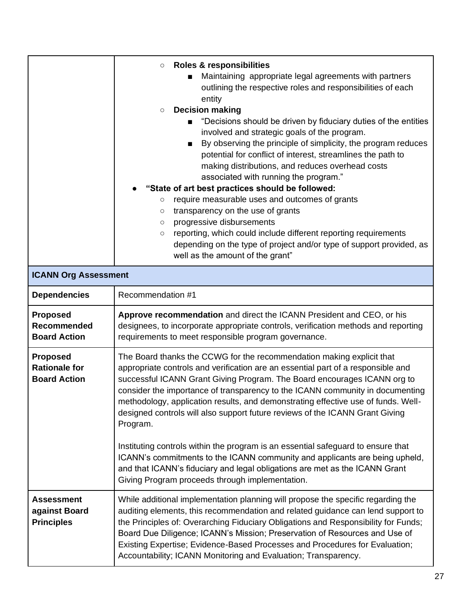|                                                                | <b>Roles &amp; responsibilities</b><br>$\bigcirc$<br>Maintaining appropriate legal agreements with partners<br>outlining the respective roles and responsibilities of each<br>entity<br><b>Decision making</b><br>$\circ$<br>"Decisions should be driven by fiduciary duties of the entities<br>involved and strategic goals of the program.<br>By observing the principle of simplicity, the program reduces<br>potential for conflict of interest, streamlines the path to<br>making distributions, and reduces overhead costs<br>associated with running the program."<br>"State of art best practices should be followed:<br>require measurable uses and outcomes of grants<br>$\circ$<br>transparency on the use of grants<br>$\circ$<br>progressive disbursements<br>$\circ$<br>reporting, which could include different reporting requirements<br>$\circ$<br>depending on the type of project and/or type of support provided, as<br>well as the amount of the grant" |
|----------------------------------------------------------------|------------------------------------------------------------------------------------------------------------------------------------------------------------------------------------------------------------------------------------------------------------------------------------------------------------------------------------------------------------------------------------------------------------------------------------------------------------------------------------------------------------------------------------------------------------------------------------------------------------------------------------------------------------------------------------------------------------------------------------------------------------------------------------------------------------------------------------------------------------------------------------------------------------------------------------------------------------------------------|
| <b>ICANN Org Assessment</b>                                    |                                                                                                                                                                                                                                                                                                                                                                                                                                                                                                                                                                                                                                                                                                                                                                                                                                                                                                                                                                              |
| <b>Dependencies</b>                                            | Recommendation #1                                                                                                                                                                                                                                                                                                                                                                                                                                                                                                                                                                                                                                                                                                                                                                                                                                                                                                                                                            |
| <b>Proposed</b><br><b>Recommended</b><br><b>Board Action</b>   | Approve recommendation and direct the ICANN President and CEO, or his<br>designees, to incorporate appropriate controls, verification methods and reporting<br>requirements to meet responsible program governance.                                                                                                                                                                                                                                                                                                                                                                                                                                                                                                                                                                                                                                                                                                                                                          |
| <b>Proposed</b><br><b>Rationale for</b><br><b>Board Action</b> | The Board thanks the CCWG for the recommendation making explicit that<br>appropriate controls and verification are an essential part of a responsible and<br>successful ICANN Grant Giving Program. The Board encourages ICANN org to<br>consider the importance of transparency to the ICANN community in documenting<br>methodology, application results, and demonstrating effective use of funds. Well-<br>designed controls will also support future reviews of the ICANN Grant Giving<br>Program.<br>Instituting controls within the program is an essential safeguard to ensure that<br>ICANN's commitments to the ICANN community and applicants are being upheld,<br>and that ICANN's fiduciary and legal obligations are met as the ICANN Grant<br>Giving Program proceeds through implementation.                                                                                                                                                                 |
| <b>Assessment</b><br>against Board<br><b>Principles</b>        | While additional implementation planning will propose the specific regarding the<br>auditing elements, this recommendation and related guidance can lend support to<br>the Principles of: Overarching Fiduciary Obligations and Responsibility for Funds;<br>Board Due Diligence; ICANN's Mission; Preservation of Resources and Use of<br>Existing Expertise; Evidence-Based Processes and Procedures for Evaluation;<br>Accountability; ICANN Monitoring and Evaluation; Transparency.                                                                                                                                                                                                                                                                                                                                                                                                                                                                                     |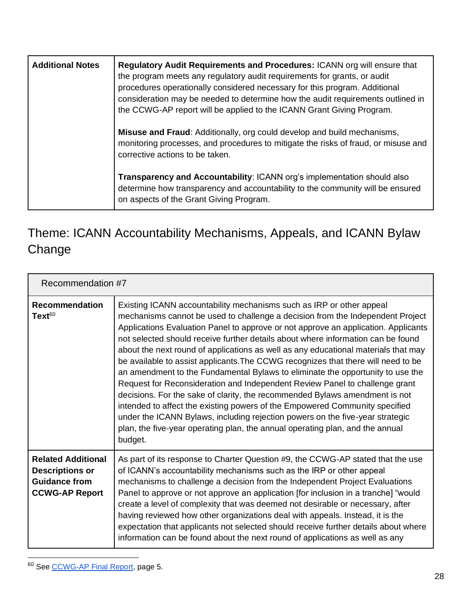| <b>Additional Notes</b> | Regulatory Audit Requirements and Procedures: ICANN org will ensure that<br>the program meets any regulatory audit requirements for grants, or audit<br>procedures operationally considered necessary for this program. Additional<br>consideration may be needed to determine how the audit requirements outlined in<br>the CCWG-AP report will be applied to the ICANN Grant Giving Program. |
|-------------------------|------------------------------------------------------------------------------------------------------------------------------------------------------------------------------------------------------------------------------------------------------------------------------------------------------------------------------------------------------------------------------------------------|
|                         | <b>Misuse and Fraud:</b> Additionally, org could develop and build mechanisms,<br>monitoring processes, and procedures to mitigate the risks of fraud, or misuse and<br>corrective actions to be taken.                                                                                                                                                                                        |
|                         | Transparency and Accountability: ICANN org's implementation should also<br>determine how transparency and accountability to the community will be ensured<br>on aspects of the Grant Giving Program.                                                                                                                                                                                           |

## <span id="page-28-0"></span>Theme: ICANN Accountability Mechanisms, Appeals, and ICANN Bylaw Change

<span id="page-28-1"></span>

| Recommendation #7                                                                                    |                                                                                                                                                                                                                                                                                                                                                                                                                                                                                                                                                                                                                                                                                                                                                                                                                                                                                                                                                                                                                         |
|------------------------------------------------------------------------------------------------------|-------------------------------------------------------------------------------------------------------------------------------------------------------------------------------------------------------------------------------------------------------------------------------------------------------------------------------------------------------------------------------------------------------------------------------------------------------------------------------------------------------------------------------------------------------------------------------------------------------------------------------------------------------------------------------------------------------------------------------------------------------------------------------------------------------------------------------------------------------------------------------------------------------------------------------------------------------------------------------------------------------------------------|
| <b>Recommendation</b><br>$Text^{60}$                                                                 | Existing ICANN accountability mechanisms such as IRP or other appeal<br>mechanisms cannot be used to challenge a decision from the Independent Project<br>Applications Evaluation Panel to approve or not approve an application. Applicants<br>not selected should receive further details about where information can be found<br>about the next round of applications as well as any educational materials that may<br>be available to assist applicants. The CCWG recognizes that there will need to be<br>an amendment to the Fundamental Bylaws to eliminate the opportunity to use the<br>Request for Reconsideration and Independent Review Panel to challenge grant<br>decisions. For the sake of clarity, the recommended Bylaws amendment is not<br>intended to affect the existing powers of the Empowered Community specified<br>under the ICANN Bylaws, including rejection powers on the five-year strategic<br>plan, the five-year operating plan, the annual operating plan, and the annual<br>budget. |
| <b>Related Additional</b><br><b>Descriptions or</b><br><b>Guidance from</b><br><b>CCWG-AP Report</b> | As part of its response to Charter Question #9, the CCWG-AP stated that the use<br>of ICANN's accountability mechanisms such as the IRP or other appeal<br>mechanisms to challenge a decision from the Independent Project Evaluations<br>Panel to approve or not approve an application [for inclusion in a tranche] "would<br>create a level of complexity that was deemed not desirable or necessary, after<br>having reviewed how other organizations deal with appeals. Instead, it is the<br>expectation that applicants not selected should receive further details about where<br>information can be found about the next round of applications as well as any                                                                                                                                                                                                                                                                                                                                                  |

<sup>60</sup> See [CCWG-AP Final Report,](https://community.icann.org/download/attachments/63149512/New%20gTLD%20AP%20CCWG%20Final%20Report_29%20May%202020.pdf?version=1&modificationDate=1590774896000&api=v2) page 5.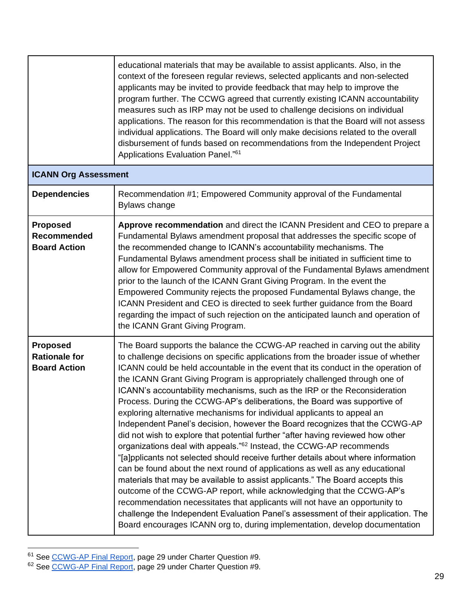|                                                                | educational materials that may be available to assist applicants. Also, in the<br>context of the foreseen regular reviews, selected applicants and non-selected<br>applicants may be invited to provide feedback that may help to improve the<br>program further. The CCWG agreed that currently existing ICANN accountability<br>measures such as IRP may not be used to challenge decisions on individual<br>applications. The reason for this recommendation is that the Board will not assess<br>individual applications. The Board will only make decisions related to the overall<br>disbursement of funds based on recommendations from the Independent Project<br>Applications Evaluation Panel." <sup>61</sup>                                                                                                                                                                                                                                                                                                                                                                                                                                                                                                                                                                                                                                                                                         |
|----------------------------------------------------------------|-----------------------------------------------------------------------------------------------------------------------------------------------------------------------------------------------------------------------------------------------------------------------------------------------------------------------------------------------------------------------------------------------------------------------------------------------------------------------------------------------------------------------------------------------------------------------------------------------------------------------------------------------------------------------------------------------------------------------------------------------------------------------------------------------------------------------------------------------------------------------------------------------------------------------------------------------------------------------------------------------------------------------------------------------------------------------------------------------------------------------------------------------------------------------------------------------------------------------------------------------------------------------------------------------------------------------------------------------------------------------------------------------------------------|
| <b>ICANN Org Assessment</b>                                    |                                                                                                                                                                                                                                                                                                                                                                                                                                                                                                                                                                                                                                                                                                                                                                                                                                                                                                                                                                                                                                                                                                                                                                                                                                                                                                                                                                                                                 |
| <b>Dependencies</b>                                            | Recommendation #1; Empowered Community approval of the Fundamental<br>Bylaws change                                                                                                                                                                                                                                                                                                                                                                                                                                                                                                                                                                                                                                                                                                                                                                                                                                                                                                                                                                                                                                                                                                                                                                                                                                                                                                                             |
| <b>Proposed</b><br>Recommended<br><b>Board Action</b>          | Approve recommendation and direct the ICANN President and CEO to prepare a<br>Fundamental Bylaws amendment proposal that addresses the specific scope of<br>the recommended change to ICANN's accountability mechanisms. The<br>Fundamental Bylaws amendment process shall be initiated in sufficient time to<br>allow for Empowered Community approval of the Fundamental Bylaws amendment<br>prior to the launch of the ICANN Grant Giving Program. In the event the<br>Empowered Community rejects the proposed Fundamental Bylaws change, the<br>ICANN President and CEO is directed to seek further guidance from the Board<br>regarding the impact of such rejection on the anticipated launch and operation of<br>the ICANN Grant Giving Program.                                                                                                                                                                                                                                                                                                                                                                                                                                                                                                                                                                                                                                                        |
| <b>Proposed</b><br><b>Rationale for</b><br><b>Board Action</b> | The Board supports the balance the CCWG-AP reached in carving out the ability<br>to challenge decisions on specific applications from the broader issue of whether<br>ICANN could be held accountable in the event that its conduct in the operation of<br>the ICANN Grant Giving Program is appropriately challenged through one of<br>ICANN's accountability mechanisms, such as the IRP or the Reconsideration<br>Process. During the CCWG-AP's deliberations, the Board was supportive of<br>exploring alternative mechanisms for individual applicants to appeal an<br>Independent Panel's decision, however the Board recognizes that the CCWG-AP<br>did not wish to explore that potential further "after having reviewed how other<br>organizations deal with appeals." <sup>62</sup> Instead, the CCWG-AP recommends<br>"[a]pplicants not selected should receive further details about where information<br>can be found about the next round of applications as well as any educational<br>materials that may be available to assist applicants." The Board accepts this<br>outcome of the CCWG-AP report, while acknowledging that the CCWG-AP's<br>recommendation necessitates that applicants will not have an opportunity to<br>challenge the Independent Evaluation Panel's assessment of their application. The<br>Board encourages ICANN org to, during implementation, develop documentation |

<sup>&</sup>lt;sup>61</sup> See [CCWG-AP Final Report,](https://community.icann.org/download/attachments/63149512/New%20gTLD%20AP%20CCWG%20Final%20Report_29%20May%202020.pdf?version=1&modificationDate=1590774896000&api=v2) page 29 under Charter Question #9.

<sup>&</sup>lt;sup>62</sup> See [CCWG-AP Final Report,](https://community.icann.org/download/attachments/63149512/New%20gTLD%20AP%20CCWG%20Final%20Report_29%20May%202020.pdf?version=1&modificationDate=1590774896000&api=v2) page 29 under Charter Question #9.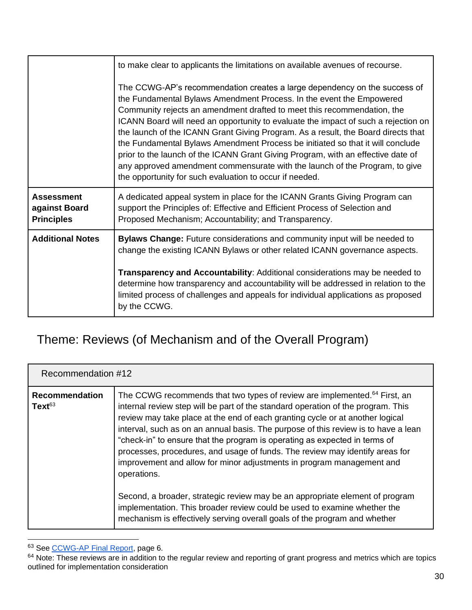|                                                         | to make clear to applicants the limitations on available avenues of recourse.                                                                                                                                                                                                                                                                                                                                                                                                                                                                                                                                                                                                                                           |
|---------------------------------------------------------|-------------------------------------------------------------------------------------------------------------------------------------------------------------------------------------------------------------------------------------------------------------------------------------------------------------------------------------------------------------------------------------------------------------------------------------------------------------------------------------------------------------------------------------------------------------------------------------------------------------------------------------------------------------------------------------------------------------------------|
|                                                         | The CCWG-AP's recommendation creates a large dependency on the success of<br>the Fundamental Bylaws Amendment Process. In the event the Empowered<br>Community rejects an amendment drafted to meet this recommendation, the<br>ICANN Board will need an opportunity to evaluate the impact of such a rejection on<br>the launch of the ICANN Grant Giving Program. As a result, the Board directs that<br>the Fundamental Bylaws Amendment Process be initiated so that it will conclude<br>prior to the launch of the ICANN Grant Giving Program, with an effective date of<br>any approved amendment commensurate with the launch of the Program, to give<br>the opportunity for such evaluation to occur if needed. |
| <b>Assessment</b><br>against Board<br><b>Principles</b> | A dedicated appeal system in place for the ICANN Grants Giving Program can<br>support the Principles of: Effective and Efficient Process of Selection and<br>Proposed Mechanism; Accountability; and Transparency.                                                                                                                                                                                                                                                                                                                                                                                                                                                                                                      |
| <b>Additional Notes</b>                                 | Bylaws Change: Future considerations and community input will be needed to<br>change the existing ICANN Bylaws or other related ICANN governance aspects.                                                                                                                                                                                                                                                                                                                                                                                                                                                                                                                                                               |
|                                                         | Transparency and Accountability: Additional considerations may be needed to<br>determine how transparency and accountability will be addressed in relation to the<br>limited process of challenges and appeals for individual applications as proposed<br>by the CCWG.                                                                                                                                                                                                                                                                                                                                                                                                                                                  |

### <span id="page-30-0"></span>Theme: Reviews (of Mechanism and of the Overall Program)

<span id="page-30-1"></span>

| Recommendation #12                          |                                                                                                                                                                                                                                                                                                                                                                                                                                                                                                                                                                                                        |
|---------------------------------------------|--------------------------------------------------------------------------------------------------------------------------------------------------------------------------------------------------------------------------------------------------------------------------------------------------------------------------------------------------------------------------------------------------------------------------------------------------------------------------------------------------------------------------------------------------------------------------------------------------------|
| <b>Recommendation</b><br>Text <sup>63</sup> | The CCWG recommends that two types of review are implemented. <sup>64</sup> First, an<br>internal review step will be part of the standard operation of the program. This<br>review may take place at the end of each granting cycle or at another logical<br>interval, such as on an annual basis. The purpose of this review is to have a lean<br>"check-in" to ensure that the program is operating as expected in terms of<br>processes, procedures, and usage of funds. The review may identify areas for<br>improvement and allow for minor adjustments in program management and<br>operations. |
|                                             | Second, a broader, strategic review may be an appropriate element of program<br>implementation. This broader review could be used to examine whether the<br>mechanism is effectively serving overall goals of the program and whether                                                                                                                                                                                                                                                                                                                                                                  |

<sup>63</sup> See [CCWG-AP Final Report,](https://community.icann.org/download/attachments/63149512/New%20gTLD%20AP%20CCWG%20Final%20Report_29%20May%202020.pdf?version=1&modificationDate=1590774896000&api=v2) page 6.

<sup>&</sup>lt;sup>64</sup> Note: These reviews are in addition to the regular review and reporting of grant progress and metrics which are topics outlined for implementation consideration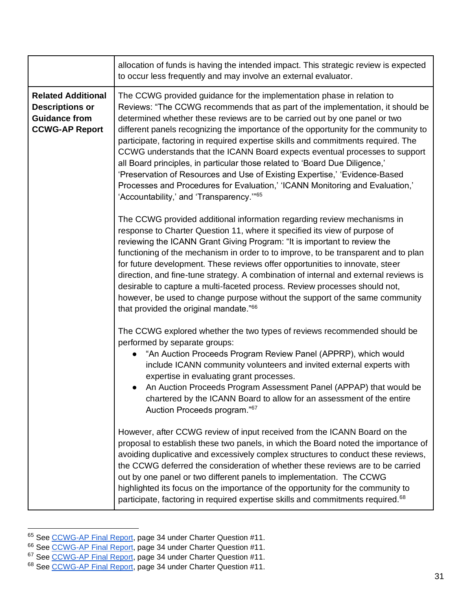|                                                                                                      | allocation of funds is having the intended impact. This strategic review is expected<br>to occur less frequently and may involve an external evaluator.                                                                                                                                                                                                                                                                                                                                                                                                                                                                                                                                                                                                                                               |
|------------------------------------------------------------------------------------------------------|-------------------------------------------------------------------------------------------------------------------------------------------------------------------------------------------------------------------------------------------------------------------------------------------------------------------------------------------------------------------------------------------------------------------------------------------------------------------------------------------------------------------------------------------------------------------------------------------------------------------------------------------------------------------------------------------------------------------------------------------------------------------------------------------------------|
| <b>Related Additional</b><br><b>Descriptions or</b><br><b>Guidance from</b><br><b>CCWG-AP Report</b> | The CCWG provided guidance for the implementation phase in relation to<br>Reviews: "The CCWG recommends that as part of the implementation, it should be<br>determined whether these reviews are to be carried out by one panel or two<br>different panels recognizing the importance of the opportunity for the community to<br>participate, factoring in required expertise skills and commitments required. The<br>CCWG understands that the ICANN Board expects eventual processes to support<br>all Board principles, in particular those related to 'Board Due Diligence,'<br>'Preservation of Resources and Use of Existing Expertise,' 'Evidence-Based<br>Processes and Procedures for Evaluation,' 'ICANN Monitoring and Evaluation,'<br>'Accountability,' and 'Transparency." <sup>65</sup> |
|                                                                                                      | The CCWG provided additional information regarding review mechanisms in<br>response to Charter Question 11, where it specified its view of purpose of<br>reviewing the ICANN Grant Giving Program: "It is important to review the<br>functioning of the mechanism in order to to improve, to be transparent and to plan<br>for future development. These reviews offer opportunities to innovate, steer<br>direction, and fine-tune strategy. A combination of internal and external reviews is<br>desirable to capture a multi-faceted process. Review processes should not,<br>however, be used to change purpose without the support of the same community<br>that provided the original mandate." <sup>66</sup>                                                                                   |
|                                                                                                      | The CCWG explored whether the two types of reviews recommended should be<br>performed by separate groups:<br>"An Auction Proceeds Program Review Panel (APPRP), which would<br>include ICANN community volunteers and invited external experts with<br>expertise in evaluating grant processes.<br>An Auction Proceeds Program Assessment Panel (APPAP) that would be<br>chartered by the ICANN Board to allow for an assessment of the entire<br>Auction Proceeds program." <sup>67</sup>                                                                                                                                                                                                                                                                                                            |
|                                                                                                      | However, after CCWG review of input received from the ICANN Board on the<br>proposal to establish these two panels, in which the Board noted the importance of<br>avoiding duplicative and excessively complex structures to conduct these reviews,<br>the CCWG deferred the consideration of whether these reviews are to be carried<br>out by one panel or two different panels to implementation. The CCWG<br>highlighted its focus on the importance of the opportunity for the community to<br>participate, factoring in required expertise skills and commitments required. <sup>68</sup>                                                                                                                                                                                                       |

<sup>&</sup>lt;sup>65</sup> See [CCWG-AP Final Report,](https://community.icann.org/download/attachments/63149512/New%20gTLD%20AP%20CCWG%20Final%20Report_29%20May%202020.pdf?version=1&modificationDate=1590774896000&api=v2) page 34 under Charter Question #11.

<sup>&</sup>lt;sup>66</sup> See [CCWG-AP Final Report,](https://community.icann.org/download/attachments/63149512/New%20gTLD%20AP%20CCWG%20Final%20Report_29%20May%202020.pdf?version=1&modificationDate=1590774896000&api=v2) page 34 under Charter Question #11.

<sup>&</sup>lt;sup>67</sup> See [CCWG-AP Final Report,](https://community.icann.org/download/attachments/63149512/New%20gTLD%20AP%20CCWG%20Final%20Report_29%20May%202020.pdf?version=1&modificationDate=1590774896000&api=v2) page 34 under Charter Question #11.

<sup>&</sup>lt;sup>68</sup> See [CCWG-AP Final Report,](https://community.icann.org/download/attachments/63149512/New%20gTLD%20AP%20CCWG%20Final%20Report_29%20May%202020.pdf?version=1&modificationDate=1590774896000&api=v2) page 34 under Charter Question #11.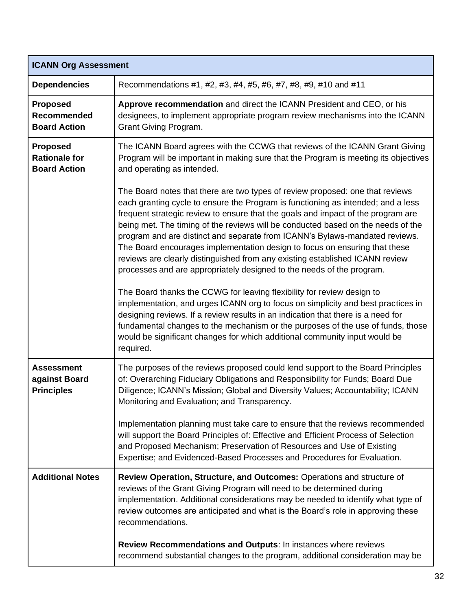| <b>ICANN Org Assessment</b>                                    |                                                                                                                                                                                                                                                                                                                                                                                                                                                                                                                                                                                                                                                                                                                                                                                                                                                                                                                                                                                                                                                                                                 |
|----------------------------------------------------------------|-------------------------------------------------------------------------------------------------------------------------------------------------------------------------------------------------------------------------------------------------------------------------------------------------------------------------------------------------------------------------------------------------------------------------------------------------------------------------------------------------------------------------------------------------------------------------------------------------------------------------------------------------------------------------------------------------------------------------------------------------------------------------------------------------------------------------------------------------------------------------------------------------------------------------------------------------------------------------------------------------------------------------------------------------------------------------------------------------|
| <b>Dependencies</b>                                            | Recommendations #1, #2, #3, #4, #5, #6, #7, #8, #9, #10 and #11                                                                                                                                                                                                                                                                                                                                                                                                                                                                                                                                                                                                                                                                                                                                                                                                                                                                                                                                                                                                                                 |
| <b>Proposed</b><br>Recommended<br><b>Board Action</b>          | Approve recommendation and direct the ICANN President and CEO, or his<br>designees, to implement appropriate program review mechanisms into the ICANN<br>Grant Giving Program.                                                                                                                                                                                                                                                                                                                                                                                                                                                                                                                                                                                                                                                                                                                                                                                                                                                                                                                  |
| <b>Proposed</b><br><b>Rationale for</b><br><b>Board Action</b> | The ICANN Board agrees with the CCWG that reviews of the ICANN Grant Giving<br>Program will be important in making sure that the Program is meeting its objectives<br>and operating as intended.                                                                                                                                                                                                                                                                                                                                                                                                                                                                                                                                                                                                                                                                                                                                                                                                                                                                                                |
|                                                                | The Board notes that there are two types of review proposed: one that reviews<br>each granting cycle to ensure the Program is functioning as intended; and a less<br>frequent strategic review to ensure that the goals and impact of the program are<br>being met. The timing of the reviews will be conducted based on the needs of the<br>program and are distinct and separate from ICANN's Bylaws-mandated reviews.<br>The Board encourages implementation design to focus on ensuring that these<br>reviews are clearly distinguished from any existing established ICANN review<br>processes and are appropriately designed to the needs of the program.<br>The Board thanks the CCWG for leaving flexibility for review design to<br>implementation, and urges ICANN org to focus on simplicity and best practices in<br>designing reviews. If a review results in an indication that there is a need for<br>fundamental changes to the mechanism or the purposes of the use of funds, those<br>would be significant changes for which additional community input would be<br>required. |
| <b>Assessment</b><br>against Board<br><b>Principles</b>        | The purposes of the reviews proposed could lend support to the Board Principles<br>of: Overarching Fiduciary Obligations and Responsibility for Funds; Board Due<br>Diligence; ICANN's Mission; Global and Diversity Values; Accountability; ICANN<br>Monitoring and Evaluation; and Transparency.                                                                                                                                                                                                                                                                                                                                                                                                                                                                                                                                                                                                                                                                                                                                                                                              |
|                                                                | Implementation planning must take care to ensure that the reviews recommended<br>will support the Board Principles of: Effective and Efficient Process of Selection<br>and Proposed Mechanism; Preservation of Resources and Use of Existing<br>Expertise; and Evidenced-Based Processes and Procedures for Evaluation.                                                                                                                                                                                                                                                                                                                                                                                                                                                                                                                                                                                                                                                                                                                                                                         |
| <b>Additional Notes</b>                                        | Review Operation, Structure, and Outcomes: Operations and structure of<br>reviews of the Grant Giving Program will need to be determined during<br>implementation. Additional considerations may be needed to identify what type of<br>review outcomes are anticipated and what is the Board's role in approving these<br>recommendations.                                                                                                                                                                                                                                                                                                                                                                                                                                                                                                                                                                                                                                                                                                                                                      |
|                                                                | Review Recommendations and Outputs: In instances where reviews<br>recommend substantial changes to the program, additional consideration may be                                                                                                                                                                                                                                                                                                                                                                                                                                                                                                                                                                                                                                                                                                                                                                                                                                                                                                                                                 |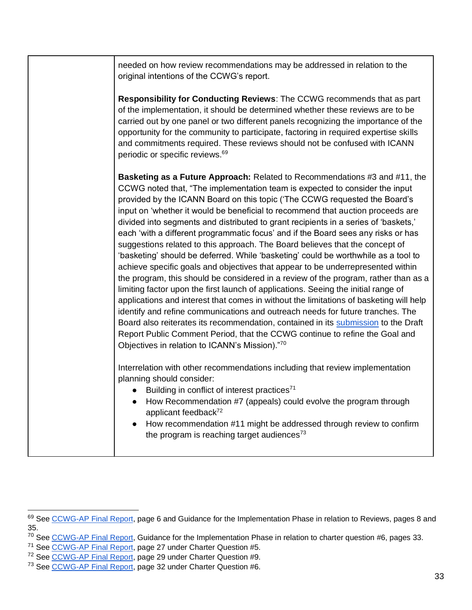| needed on how review recommendations may be addressed in relation to the<br>original intentions of the CCWG's report.                                                                                                                                                                                                                                                                                                                                                                                                                                                                                                                                                                                                                                                                                                                                                                                                                                                                                                                                                                                                                                                                                                                                                                                                                           |
|-------------------------------------------------------------------------------------------------------------------------------------------------------------------------------------------------------------------------------------------------------------------------------------------------------------------------------------------------------------------------------------------------------------------------------------------------------------------------------------------------------------------------------------------------------------------------------------------------------------------------------------------------------------------------------------------------------------------------------------------------------------------------------------------------------------------------------------------------------------------------------------------------------------------------------------------------------------------------------------------------------------------------------------------------------------------------------------------------------------------------------------------------------------------------------------------------------------------------------------------------------------------------------------------------------------------------------------------------|
| Responsibility for Conducting Reviews: The CCWG recommends that as part<br>of the implementation, it should be determined whether these reviews are to be<br>carried out by one panel or two different panels recognizing the importance of the<br>opportunity for the community to participate, factoring in required expertise skills<br>and commitments required. These reviews should not be confused with ICANN<br>periodic or specific reviews. <sup>69</sup>                                                                                                                                                                                                                                                                                                                                                                                                                                                                                                                                                                                                                                                                                                                                                                                                                                                                             |
| Basketing as a Future Approach: Related to Recommendations #3 and #11, the<br>CCWG noted that, "The implementation team is expected to consider the input<br>provided by the ICANN Board on this topic ('The CCWG requested the Board's<br>input on 'whether it would be beneficial to recommend that auction proceeds are<br>divided into segments and distributed to grant recipients in a series of 'baskets,'<br>each 'with a different programmatic focus' and if the Board sees any risks or has<br>suggestions related to this approach. The Board believes that the concept of<br>'basketing' should be deferred. While 'basketing' could be worthwhile as a tool to<br>achieve specific goals and objectives that appear to be underrepresented within<br>the program, this should be considered in a review of the program, rather than as a<br>limiting factor upon the first launch of applications. Seeing the initial range of<br>applications and interest that comes in without the limitations of basketing will help<br>identify and refine communications and outreach needs for future tranches. The<br>Board also reiterates its recommendation, contained in its submission to the Draft<br>Report Public Comment Period, that the CCWG continue to refine the Goal and<br>Objectives in relation to ICANN's Mission)."70 |
| Interrelation with other recommendations including that review implementation<br>planning should consider:<br>Building in conflict of interest practices <sup>71</sup><br>$\bullet$<br>• How Recommendation #7 (appeals) could evolve the program through<br>applicant feedback <sup>72</sup><br>• How recommendation #11 might be addressed through review to confirm<br>the program is reaching target audiences <sup>73</sup>                                                                                                                                                                                                                                                                                                                                                                                                                                                                                                                                                                                                                                                                                                                                                                                                                                                                                                                |

<sup>&</sup>lt;sup>69</sup> See [CCWG-AP Final Report,](https://community.icann.org/download/attachments/63149512/New%20gTLD%20AP%20CCWG%20Final%20Report_29%20May%202020.pdf?version=1&modificationDate=1590774896000&api=v2) page 6 and Guidance for the Implementation Phase in relation to Reviews, pages 8 and 35.

<sup>&</sup>lt;sup>70</sup> See [CCWG-AP Final Report,](https://community.icann.org/download/attachments/63149512/New%20gTLD%20AP%20CCWG%20Final%20Report_29%20May%202020.pdf?version=1&modificationDate=1590774896000&api=v2) Guidance for the Implementation Phase in relation to charter question #6, pages 33.

<sup>&</sup>lt;sup>71</sup> See [CCWG-AP Final Report,](https://community.icann.org/download/attachments/63149512/New%20gTLD%20AP%20CCWG%20Final%20Report_29%20May%202020.pdf?version=1&modificationDate=1590774896000&api=v2) page 27 under Charter Question #5.

<sup>&</sup>lt;sup>72</sup> See [CCWG-AP Final Report,](https://community.icann.org/download/attachments/63149512/New%20gTLD%20AP%20CCWG%20Final%20Report_29%20May%202020.pdf?version=1&modificationDate=1590774896000&api=v2) page 29 under Charter Question #9.

<sup>&</sup>lt;sup>73</sup> See [CCWG-AP Final Report,](https://community.icann.org/download/attachments/63149512/New%20gTLD%20AP%20CCWG%20Final%20Report_29%20May%202020.pdf?version=1&modificationDate=1590774896000&api=v2) page 32 under Charter Question #6.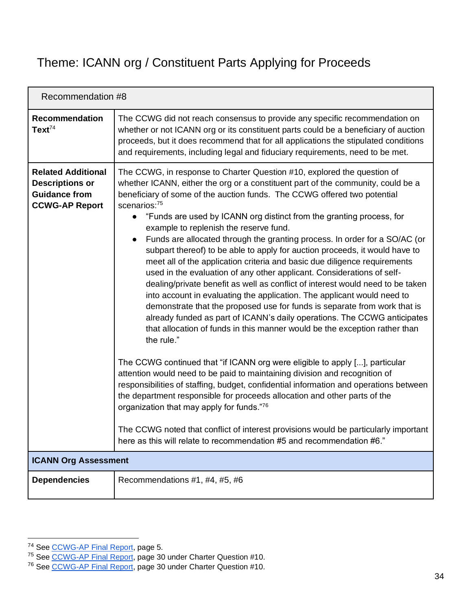### <span id="page-34-0"></span>Theme: ICANN org / Constituent Parts Applying for Proceeds

<span id="page-34-1"></span>

| Recommendation #8                                                                                    |                                                                                                                                                                                                                                                                                                                                                                                                                                                                                                                                                                                                                                                                                                                                                                                                                                                                                                                                                                                                                                                                                                                                                                                                                                                                                                                                                                                                                                                                                                                                                                                                                                                                                           |
|------------------------------------------------------------------------------------------------------|-------------------------------------------------------------------------------------------------------------------------------------------------------------------------------------------------------------------------------------------------------------------------------------------------------------------------------------------------------------------------------------------------------------------------------------------------------------------------------------------------------------------------------------------------------------------------------------------------------------------------------------------------------------------------------------------------------------------------------------------------------------------------------------------------------------------------------------------------------------------------------------------------------------------------------------------------------------------------------------------------------------------------------------------------------------------------------------------------------------------------------------------------------------------------------------------------------------------------------------------------------------------------------------------------------------------------------------------------------------------------------------------------------------------------------------------------------------------------------------------------------------------------------------------------------------------------------------------------------------------------------------------------------------------------------------------|
| <b>Recommendation</b><br>Text <sup>74</sup>                                                          | The CCWG did not reach consensus to provide any specific recommendation on<br>whether or not ICANN org or its constituent parts could be a beneficiary of auction<br>proceeds, but it does recommend that for all applications the stipulated conditions<br>and requirements, including legal and fiduciary requirements, need to be met.                                                                                                                                                                                                                                                                                                                                                                                                                                                                                                                                                                                                                                                                                                                                                                                                                                                                                                                                                                                                                                                                                                                                                                                                                                                                                                                                                 |
| <b>Related Additional</b><br><b>Descriptions or</b><br><b>Guidance from</b><br><b>CCWG-AP Report</b> | The CCWG, in response to Charter Question #10, explored the question of<br>whether ICANN, either the org or a constituent part of the community, could be a<br>beneficiary of some of the auction funds. The CCWG offered two potential<br>scenarios:75<br>"Funds are used by ICANN org distinct from the granting process, for<br>$\bullet$<br>example to replenish the reserve fund.<br>Funds are allocated through the granting process. In order for a SO/AC (or<br>$\bullet$<br>subpart thereof) to be able to apply for auction proceeds, it would have to<br>meet all of the application criteria and basic due diligence requirements<br>used in the evaluation of any other applicant. Considerations of self-<br>dealing/private benefit as well as conflict of interest would need to be taken<br>into account in evaluating the application. The applicant would need to<br>demonstrate that the proposed use for funds is separate from work that is<br>already funded as part of ICANN's daily operations. The CCWG anticipates<br>that allocation of funds in this manner would be the exception rather than<br>the rule."<br>The CCWG continued that "if ICANN org were eligible to apply [], particular<br>attention would need to be paid to maintaining division and recognition of<br>responsibilities of staffing, budget, confidential information and operations between<br>the department responsible for proceeds allocation and other parts of the<br>organization that may apply for funds."76<br>The CCWG noted that conflict of interest provisions would be particularly important<br>here as this will relate to recommendation #5 and recommendation #6." |
| <b>ICANN Org Assessment</b>                                                                          |                                                                                                                                                                                                                                                                                                                                                                                                                                                                                                                                                                                                                                                                                                                                                                                                                                                                                                                                                                                                                                                                                                                                                                                                                                                                                                                                                                                                                                                                                                                                                                                                                                                                                           |
| <b>Dependencies</b>                                                                                  | Recommendations #1, #4, #5, #6                                                                                                                                                                                                                                                                                                                                                                                                                                                                                                                                                                                                                                                                                                                                                                                                                                                                                                                                                                                                                                                                                                                                                                                                                                                                                                                                                                                                                                                                                                                                                                                                                                                            |

<sup>&</sup>lt;sup>74</sup> See [CCWG-AP Final Report,](https://community.icann.org/download/attachments/63149512/New%20gTLD%20AP%20CCWG%20Final%20Report_29%20May%202020.pdf?version=1&modificationDate=1590774896000&api=v2) page 5.

<sup>&</sup>lt;sup>75</sup> See [CCWG-AP Final Report,](https://community.icann.org/download/attachments/63149512/New%20gTLD%20AP%20CCWG%20Final%20Report_29%20May%202020.pdf?version=1&modificationDate=1590774896000&api=v2) page 30 under Charter Question #10.

<sup>&</sup>lt;sup>76</sup> See [CCWG-AP Final Report,](https://community.icann.org/download/attachments/63149512/New%20gTLD%20AP%20CCWG%20Final%20Report_29%20May%202020.pdf?version=1&modificationDate=1590774896000&api=v2) page 30 under Charter Question #10.